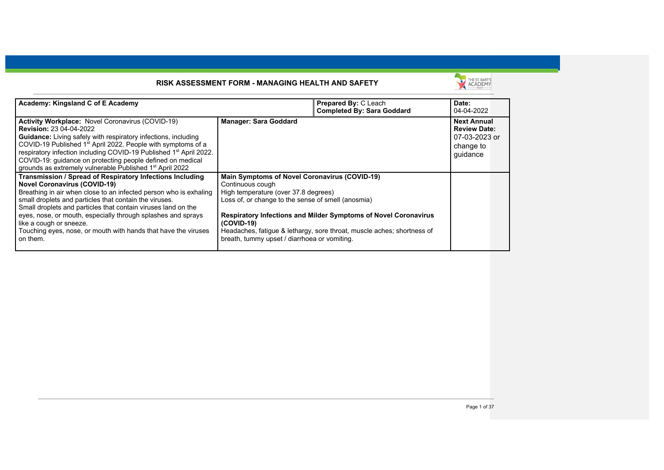

| Academy: Kingsland C of E Academy                                              |                                                      | <b>Prepared By: C Leach</b>                                            | Date:               |  |
|--------------------------------------------------------------------------------|------------------------------------------------------|------------------------------------------------------------------------|---------------------|--|
|                                                                                |                                                      | <b>Completed By: Sara Goddard</b>                                      | 04-04-2022          |  |
| Activity Workplace: Novel Coronavirus (COVID-19)                               | <b>Manager: Sara Goddard</b>                         |                                                                        | <b>Next Annual</b>  |  |
| <b>Revision: 23 04-04-2022</b>                                                 |                                                      |                                                                        | <b>Review Date:</b> |  |
| <b>Guidance:</b> Living safely with respiratory infections, including          |                                                      |                                                                        | 07-03-2023 or       |  |
| COVID-19 Published 1 <sup>st</sup> April 2022. People with symptoms of a       |                                                      |                                                                        | change to           |  |
| respiratory infection including COVID-19 Published 1 <sup>st</sup> April 2022. |                                                      |                                                                        | guidance            |  |
| COVID-19: guidance on protecting people defined on medical                     |                                                      |                                                                        |                     |  |
| grounds as extremely vulnerable Published 1 <sup>st</sup> April 2022           |                                                      |                                                                        |                     |  |
| Transmission / Spread of Respiratory Infections Including                      | <b>Main Symptoms of Novel Coronavirus (COVID-19)</b> |                                                                        |                     |  |
| <b>Novel Coronavirus (COVID-19)</b>                                            | Continuous cough                                     |                                                                        |                     |  |
| Breathing in air when close to an infected person who is exhaling              | High temperature (over 37.8 degrees)                 |                                                                        |                     |  |
| small droplets and particles that contain the viruses.                         | Loss of, or change to the sense of smell (anosmia)   |                                                                        |                     |  |
| Small droplets and particles that contain viruses land on the                  |                                                      |                                                                        |                     |  |
| eyes, nose, or mouth, especially through splashes and sprays                   |                                                      | <b>Respiratory Infections and Milder Symptoms of Novel Coronavirus</b> |                     |  |
| like a cough or sneeze.                                                        | $(COVID-19)$                                         |                                                                        |                     |  |
| Touching eyes, nose, or mouth with hands that have the viruses                 |                                                      | Headaches, fatigue & lethargy, sore throat, muscle aches; shortness of |                     |  |
| on them.                                                                       | breath, tummy upset / diarrhoea or vomiting.         |                                                                        |                     |  |
|                                                                                |                                                      |                                                                        |                     |  |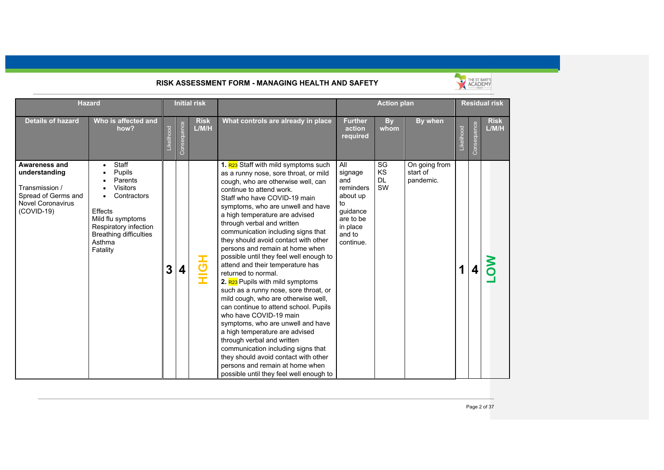

|                                                                                                                     | <b>Initial risk</b><br><b>Hazard</b>                                                                                                                                                |                              |                      |                                                                                                                                                                                                                                                                                                                                                                                                                                                                                                                                                                                                                                                                                                                                                                                                                                                                                                                                                                                             | <b>Action plan</b>                                                                                               |                             |                                        | <b>Residual risk</b> |             |                      |
|---------------------------------------------------------------------------------------------------------------------|-------------------------------------------------------------------------------------------------------------------------------------------------------------------------------------|------------------------------|----------------------|---------------------------------------------------------------------------------------------------------------------------------------------------------------------------------------------------------------------------------------------------------------------------------------------------------------------------------------------------------------------------------------------------------------------------------------------------------------------------------------------------------------------------------------------------------------------------------------------------------------------------------------------------------------------------------------------------------------------------------------------------------------------------------------------------------------------------------------------------------------------------------------------------------------------------------------------------------------------------------------------|------------------------------------------------------------------------------------------------------------------|-----------------------------|----------------------------------------|----------------------|-------------|----------------------|
| <b>Details of hazard</b>                                                                                            | Who is affected and<br>how?                                                                                                                                                         | Consequence<br>Likelihood    | <b>Risk</b><br>L/M/H | What controls are already in place                                                                                                                                                                                                                                                                                                                                                                                                                                                                                                                                                                                                                                                                                                                                                                                                                                                                                                                                                          | <b>Further</b><br>action<br>required                                                                             | <b>By</b><br>whom           | By when                                | Likelihood           | Consequence | <b>Risk</b><br>L/M/H |
| Awareness and<br>understanding<br>Transmission /<br>Spread of Germs and<br><b>Novel Coronavirus</b><br>$(COVID-19)$ | Staff<br>Pupils<br>Parents<br><b>Visitors</b><br>Contractors<br><b>Effects</b><br>Mild flu symptoms<br>Respiratory infection<br><b>Breathing difficulties</b><br>Asthma<br>Fatality | 3<br>$\overline{\mathbf{4}}$ | $\frac{1}{2}$        | 1. R <sub>23</sub> Staff with mild symptoms such<br>as a runny nose, sore throat, or mild<br>cough, who are otherwise well, can<br>continue to attend work.<br>Staff who have COVID-19 main<br>symptoms, who are unwell and have<br>a high temperature are advised<br>through verbal and written<br>communication including signs that<br>they should avoid contact with other<br>persons and remain at home when<br>possible until they feel well enough to<br>attend and their temperature has<br>returned to normal.<br>2. R <sub>23</sub> Pupils with mild symptoms<br>such as a runny nose, sore throat, or<br>mild cough, who are otherwise well,<br>can continue to attend school. Pupils<br>who have COVID-19 main<br>symptoms, who are unwell and have<br>a high temperature are advised<br>through verbal and written<br>communication including signs that<br>they should avoid contact with other<br>persons and remain at home when<br>possible until they feel well enough to | All<br>signage<br>and<br>reminders<br>about up<br>to<br>guidance<br>are to be<br>in place<br>and to<br>continue. | SG<br>KS<br><b>DL</b><br>SW | On going from<br>start of<br>pandemic. | 1                    |             |                      |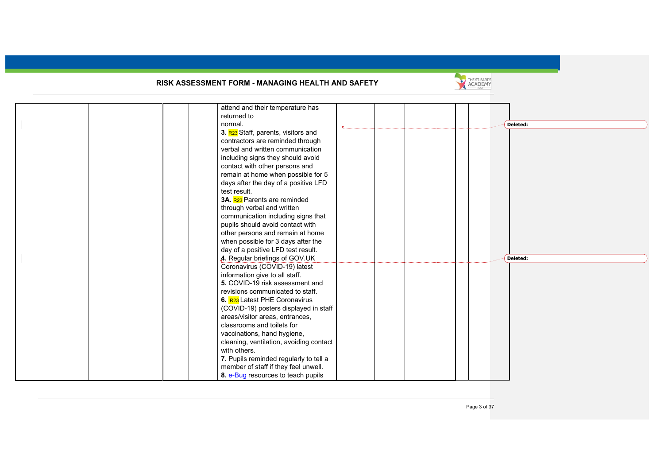

|  | attend and their temperature has<br>returned to |  |          |  |
|--|-------------------------------------------------|--|----------|--|
|  | normal.                                         |  | Deleted: |  |
|  | 3. R <sub>23</sub> Staff, parents, visitors and |  |          |  |
|  | contractors are reminded through                |  |          |  |
|  | verbal and written communication                |  |          |  |
|  | including signs they should avoid               |  |          |  |
|  | contact with other persons and                  |  |          |  |
|  | remain at home when possible for 5              |  |          |  |
|  | days after the day of a positive LFD            |  |          |  |
|  | test result.                                    |  |          |  |
|  | 3A. R23 Parents are reminded                    |  |          |  |
|  | through verbal and written                      |  |          |  |
|  | communication including signs that              |  |          |  |
|  | pupils should avoid contact with                |  |          |  |
|  | other persons and remain at home                |  |          |  |
|  | when possible for 3 days after the              |  |          |  |
|  | day of a positive LFD test result.              |  |          |  |
|  | 4. Regular briefings of GOV.UK                  |  | Deleted: |  |
|  | Coronavirus (COVID-19) latest                   |  |          |  |
|  | information give to all staff.                  |  |          |  |
|  | 5. COVID-19 risk assessment and                 |  |          |  |
|  | revisions communicated to staff.                |  |          |  |
|  | 6. R <sub>23</sub> Latest PHE Coronavirus       |  |          |  |
|  | (COVID-19) posters displayed in staff           |  |          |  |
|  | areas/visitor areas, entrances,                 |  |          |  |
|  | classrooms and toilets for                      |  |          |  |
|  | vaccinations, hand hygiene,                     |  |          |  |
|  | cleaning, ventilation, avoiding contact         |  |          |  |
|  | with others.                                    |  |          |  |
|  | 7. Pupils reminded regularly to tell a          |  |          |  |
|  | member of staff if they feel unwell.            |  |          |  |
|  | 8. e-Bug resources to teach pupils              |  |          |  |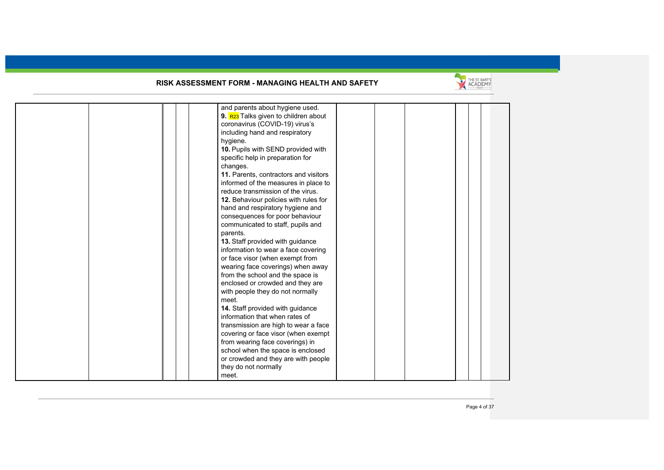

|  | and parents about hygiene used.       |  |  |  |
|--|---------------------------------------|--|--|--|
|  | 9. R23 Talks given to children about  |  |  |  |
|  | coronavirus (COVID-19) virus's        |  |  |  |
|  | including hand and respiratory        |  |  |  |
|  | hygiene.                              |  |  |  |
|  | 10. Pupils with SEND provided with    |  |  |  |
|  | specific help in preparation for      |  |  |  |
|  | changes.                              |  |  |  |
|  | 11. Parents, contractors and visitors |  |  |  |
|  | informed of the measures in place to  |  |  |  |
|  | reduce transmission of the virus.     |  |  |  |
|  | 12. Behaviour policies with rules for |  |  |  |
|  | hand and respiratory hygiene and      |  |  |  |
|  | consequences for poor behaviour       |  |  |  |
|  | communicated to staff, pupils and     |  |  |  |
|  | parents.                              |  |  |  |
|  | 13. Staff provided with guidance      |  |  |  |
|  | information to wear a face covering   |  |  |  |
|  | or face visor (when exempt from       |  |  |  |
|  | wearing face coverings) when away     |  |  |  |
|  | from the school and the space is      |  |  |  |
|  |                                       |  |  |  |
|  | enclosed or crowded and they are      |  |  |  |
|  | with people they do not normally      |  |  |  |
|  | meet.                                 |  |  |  |
|  | 14. Staff provided with guidance      |  |  |  |
|  | information that when rates of        |  |  |  |
|  | transmission are high to wear a face  |  |  |  |
|  | covering or face visor (when exempt   |  |  |  |
|  | from wearing face coverings) in       |  |  |  |
|  | school when the space is enclosed     |  |  |  |
|  | or crowded and they are with people   |  |  |  |
|  | they do not normally                  |  |  |  |
|  | meet.                                 |  |  |  |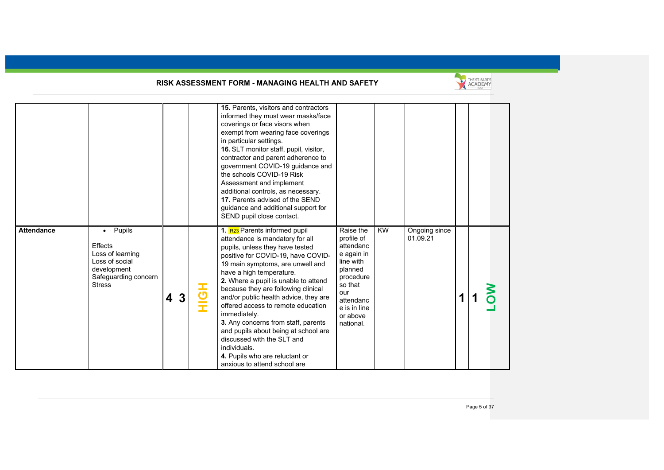

|                   |                                                                                                                              |                         |   |     | 15. Parents, visitors and contractors<br>informed they must wear masks/face<br>coverings or face visors when<br>exempt from wearing face coverings<br>in particular settings.<br>16. SLT monitor staff, pupil, visitor,<br>contractor and parent adherence to<br>government COVID-19 guidance and<br>the schools COVID-19 Risk<br>Assessment and implement<br>additional controls, as necessary.<br>17. Parents advised of the SEND<br>guidance and additional support for<br>SEND pupil close contact.                                                                                            |                                                                                                                                                                 |           |                           |   |  |  |
|-------------------|------------------------------------------------------------------------------------------------------------------------------|-------------------------|---|-----|----------------------------------------------------------------------------------------------------------------------------------------------------------------------------------------------------------------------------------------------------------------------------------------------------------------------------------------------------------------------------------------------------------------------------------------------------------------------------------------------------------------------------------------------------------------------------------------------------|-----------------------------------------------------------------------------------------------------------------------------------------------------------------|-----------|---------------------------|---|--|--|
| <b>Attendance</b> | Pupils<br>$\bullet$<br>Effects<br>Loss of learning<br>Loss of social<br>development<br>Safeguarding concern<br><b>Stress</b> | $\overline{\mathbf{4}}$ | 3 | HộH | 1. R <sub>23</sub> Parents informed pupil<br>attendance is mandatory for all<br>pupils, unless they have tested<br>positive for COVID-19, have COVID-<br>19 main symptoms, are unwell and<br>have a high temperature.<br>2. Where a pupil is unable to attend<br>because they are following clinical<br>and/or public health advice, they are<br>offered access to remote education<br>immediately.<br>3. Any concerns from staff, parents<br>and pupils about being at school are<br>discussed with the SLT and<br>individuals.<br>4. Pupils who are reluctant or<br>anxious to attend school are | Raise the<br>profile of<br>attendanc<br>e again in<br>line with<br>planned<br>procedure<br>so that<br>our<br>attendanc<br>e is in line<br>or above<br>national. | <b>KW</b> | Ongoing since<br>01.09.21 | 1 |  |  |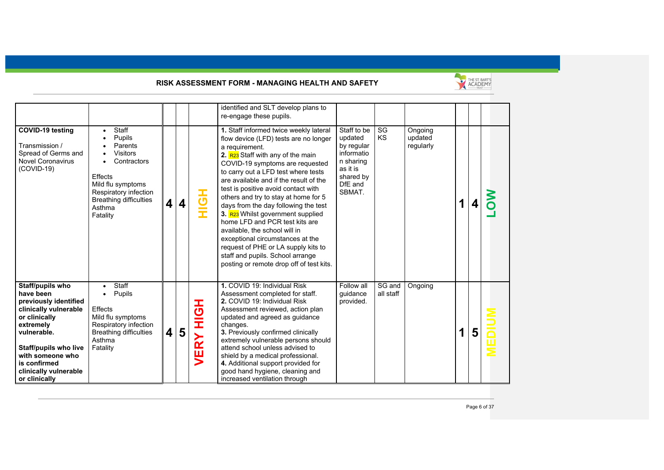

|                                                                                                                                                                                                                                            |                                                                                                                                                                              |   |   |             | identified and SLT develop plans to<br>re-engage these pupils.                                                                                                                                                                                                                                                                                                                                                                                                                                                                                                                                                                                                   |                                                                                                               |                     |                                 |             |   |  |
|--------------------------------------------------------------------------------------------------------------------------------------------------------------------------------------------------------------------------------------------|------------------------------------------------------------------------------------------------------------------------------------------------------------------------------|---|---|-------------|------------------------------------------------------------------------------------------------------------------------------------------------------------------------------------------------------------------------------------------------------------------------------------------------------------------------------------------------------------------------------------------------------------------------------------------------------------------------------------------------------------------------------------------------------------------------------------------------------------------------------------------------------------------|---------------------------------------------------------------------------------------------------------------|---------------------|---------------------------------|-------------|---|--|
| COVID-19 testing<br>Transmission /<br>Spread of Germs and<br><b>Novel Coronavirus</b><br>$(COVID-19)$                                                                                                                                      | Staff<br>Pupils<br>Parents<br><b>Visitors</b><br>Contractors<br>Effects<br>Mild flu symptoms<br>Respiratory infection<br><b>Breathing difficulties</b><br>Asthma<br>Fatality | 4 | 4 | HOH         | 1. Staff informed twice weekly lateral<br>flow device (LFD) tests are no longer<br>a requirement.<br>2. R <sub>23</sub> Staff with any of the main<br>COVID-19 symptoms are requested<br>to carry out a LFD test where tests<br>are available and if the result of the<br>test is positive avoid contact with<br>others and try to stay at home for 5<br>days from the day following the test<br>3. R23 Whilst government supplied<br>home LFD and PCR test kits are<br>available, the school will in<br>exceptional circumstances at the<br>request of PHE or LA supply kits to<br>staff and pupils. School arrange<br>posting or remote drop off of test kits. | Staff to be<br>updated<br>by regular<br>informatio<br>n sharing<br>as it is<br>shared by<br>DfE and<br>SBMAT. | SG<br>KS            | Ongoing<br>updated<br>regularly | $\mathbf 1$ |   |  |
| Staff/pupils who<br>have been<br>previously identified<br>clinically vulnerable<br>or clinically<br>extremely<br>vulnerable.<br><b>Staff/pupils who live</b><br>with someone who<br>is confirmed<br>clinically vulnerable<br>or clinically | Staff<br>Pupils<br>Effects<br>Mild flu symptoms<br>Respiratory infection<br><b>Breathing difficulties</b><br>Asthma<br>Fatality                                              | 4 | 5 | HộH<br>VERY | 1. COVID 19: Individual Risk<br>Assessment completed for staff.<br>2. COVID 19: Individual Risk<br>Assessment reviewed, action plan<br>updated and agreed as guidance<br>changes.<br>3. Previously confirmed clinically<br>extremely vulnerable persons should<br>attend school unless advised to<br>shield by a medical professional.<br>4. Additional support provided for<br>good hand hygiene, cleaning and<br>increased ventilation through                                                                                                                                                                                                                 | Follow all<br>quidance<br>provided.                                                                           | SG and<br>all staff | Ongoing                         | $\mathbf 1$ | 5 |  |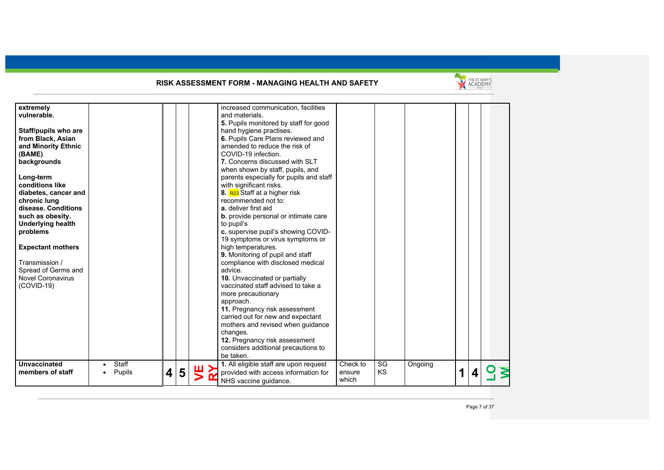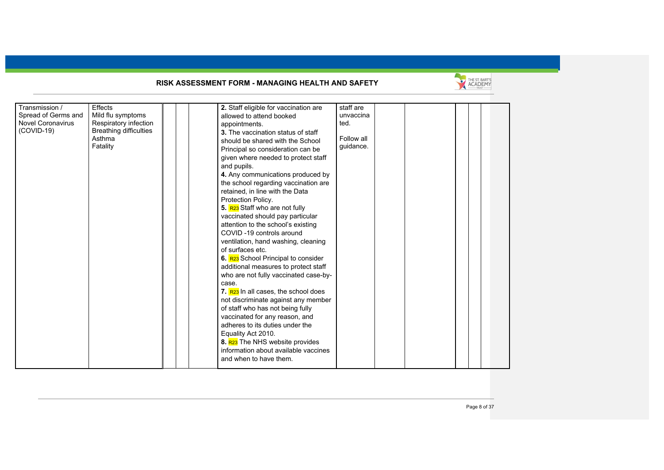

| Transmission /           | Effects                       | 2. Staff eligible for vaccination are<br>staff are |  |
|--------------------------|-------------------------------|----------------------------------------------------|--|
| Spread of Germs and      | Mild flu symptoms             | unvaccina<br>allowed to attend booked              |  |
| <b>Novel Coronavirus</b> | Respiratory infection         | ted.<br>appointments.                              |  |
| $(COVID-19)$             | <b>Breathing difficulties</b> | 3. The vaccination status of staff                 |  |
|                          | Asthma                        | Follow all                                         |  |
|                          | Fatality                      | should be shared with the School<br>quidance.      |  |
|                          |                               | Principal so consideration can be                  |  |
|                          |                               | given where needed to protect staff                |  |
|                          |                               | and pupils.                                        |  |
|                          |                               | 4. Any communications produced by                  |  |
|                          |                               | the school regarding vaccination are               |  |
|                          |                               | retained, in line with the Data                    |  |
|                          |                               | Protection Policy.                                 |  |
|                          |                               | 5. R23 Staff who are not fully                     |  |
|                          |                               | vaccinated should pay particular                   |  |
|                          |                               | attention to the school's existing                 |  |
|                          |                               | COVID-19 controls around                           |  |
|                          |                               | ventilation, hand washing, cleaning                |  |
|                          |                               | of surfaces etc.                                   |  |
|                          |                               | 6. R23 School Principal to consider                |  |
|                          |                               | additional measures to protect staff               |  |
|                          |                               | who are not fully vaccinated case-by-              |  |
|                          |                               | case.                                              |  |
|                          |                               | 7. R <sub>23</sub> In all cases, the school does   |  |
|                          |                               | not discriminate against any member                |  |
|                          |                               | of staff who has not being fully                   |  |
|                          |                               | vaccinated for any reason, and                     |  |
|                          |                               | adheres to its duties under the                    |  |
|                          |                               | Equality Act 2010.                                 |  |
|                          |                               | 8. R23 The NHS website provides                    |  |
|                          |                               | information about available vaccines               |  |
|                          |                               | and when to have them.                             |  |
|                          |                               |                                                    |  |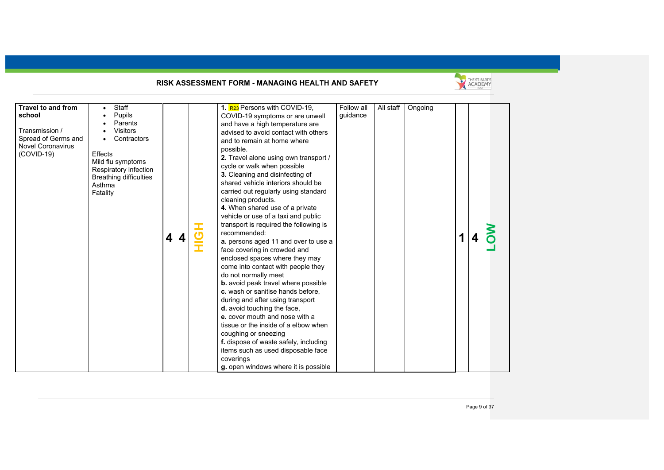

| <b>Travel to and from</b><br>school<br>Transmission /<br>Spread of Germs and<br><b>Novel Coronavirus</b><br>$(COVID-19)$ | Staff<br>Pupils<br>Parents<br><b>Visitors</b><br>Contractors<br><b>Effects</b><br>Mild flu symptoms<br>Respiratory infection<br><b>Breathing difficulties</b><br>Asthma<br>Fatality | 4 | 4 | Î | 1. R <sub>23</sub> Persons with COVID-19,<br>COVID-19 symptoms or are unwell<br>and have a high temperature are<br>advised to avoid contact with others<br>and to remain at home where<br>possible.<br>2. Travel alone using own transport /<br>cycle or walk when possible<br>3. Cleaning and disinfecting of<br>shared vehicle interiors should be<br>carried out regularly using standard<br>cleaning products.<br>4. When shared use of a private<br>vehicle or use of a taxi and public<br>transport is required the following is<br>recommended:<br>a. persons aged 11 and over to use a<br>face covering in crowded and<br>enclosed spaces where they may<br>come into contact with people they<br>do not normally meet<br><b>b.</b> avoid peak travel where possible<br>c. wash or sanitise hands before,<br>during and after using transport<br>d. avoid touching the face,<br>e. cover mouth and nose with a<br>tissue or the inside of a elbow when<br>coughing or sneezing<br>f. dispose of waste safely, including<br>items such as used disposable face<br>coverings<br>q. open windows where it is possible | Follow all<br>quidance | All staff | Ongoing | 1 |  |  |
|--------------------------------------------------------------------------------------------------------------------------|-------------------------------------------------------------------------------------------------------------------------------------------------------------------------------------|---|---|---|----------------------------------------------------------------------------------------------------------------------------------------------------------------------------------------------------------------------------------------------------------------------------------------------------------------------------------------------------------------------------------------------------------------------------------------------------------------------------------------------------------------------------------------------------------------------------------------------------------------------------------------------------------------------------------------------------------------------------------------------------------------------------------------------------------------------------------------------------------------------------------------------------------------------------------------------------------------------------------------------------------------------------------------------------------------------------------------------------------------------------|------------------------|-----------|---------|---|--|--|
|--------------------------------------------------------------------------------------------------------------------------|-------------------------------------------------------------------------------------------------------------------------------------------------------------------------------------|---|---|---|----------------------------------------------------------------------------------------------------------------------------------------------------------------------------------------------------------------------------------------------------------------------------------------------------------------------------------------------------------------------------------------------------------------------------------------------------------------------------------------------------------------------------------------------------------------------------------------------------------------------------------------------------------------------------------------------------------------------------------------------------------------------------------------------------------------------------------------------------------------------------------------------------------------------------------------------------------------------------------------------------------------------------------------------------------------------------------------------------------------------------|------------------------|-----------|---------|---|--|--|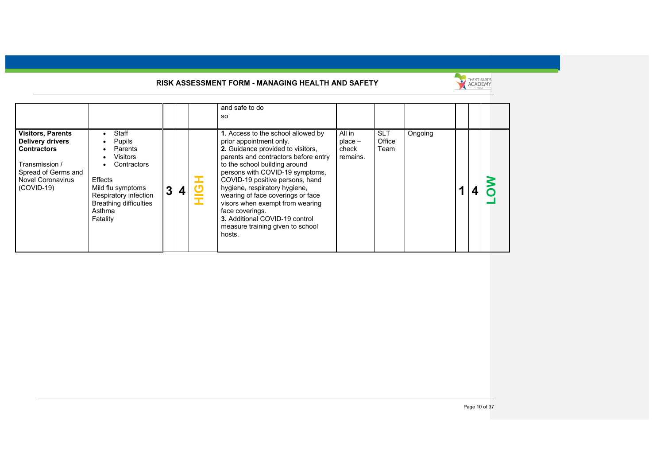

|                                                                                                                                                                |                                                                                                                                                                                                 |              |   | and safe to do<br>-SO                                                                                                                                                                                                                                                                                                                                                                                                                                         |                                          |                              |         |  |  |
|----------------------------------------------------------------------------------------------------------------------------------------------------------------|-------------------------------------------------------------------------------------------------------------------------------------------------------------------------------------------------|--------------|---|---------------------------------------------------------------------------------------------------------------------------------------------------------------------------------------------------------------------------------------------------------------------------------------------------------------------------------------------------------------------------------------------------------------------------------------------------------------|------------------------------------------|------------------------------|---------|--|--|
| <b>Visitors, Parents</b><br><b>Delivery drivers</b><br><b>Contractors</b><br>Transmission /<br>Spread of Germs and<br><b>Novel Coronavirus</b><br>$(COVID-19)$ | Staff<br>$\bullet$<br>Pupils<br>$\bullet$<br>Parents<br>Visitors<br>Contractors<br>Effects<br>Mild flu symptoms<br>Respiratory infection<br><b>Breathing difficulties</b><br>Asthma<br>Fatality | $\mathbf{3}$ | 4 | 1. Access to the school allowed by<br>prior appointment only.<br>2. Guidance provided to visitors,<br>parents and contractors before entry<br>to the school building around<br>persons with COVID-19 symptoms,<br>COVID-19 positive persons, hand<br>hygiene, respiratory hygiene,<br>wearing of face coverings or face<br>visors when exempt from wearing<br>face coverings.<br>3. Additional COVID-19 control<br>measure training given to school<br>hosts. | All in<br>$place -$<br>check<br>remains. | <b>SLT</b><br>Office<br>Team | Ongoing |  |  |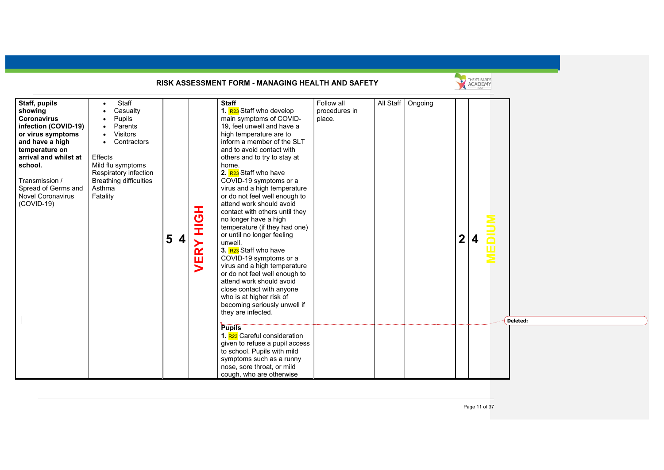|                                                                                                                                                                                                                                                                                                                                                                                                                                                       |                            | RISK ASSESSMENT FORM - MANAGING HEALTH AND SAFETY                                                                                                                                                                                                                                                                                                                                                                                                                                                                                                                                                                                                                                                                                                                                                                                                                                                                                                                                                                                |                                       |                     |                | THE ST. BART'S |                  |
|-------------------------------------------------------------------------------------------------------------------------------------------------------------------------------------------------------------------------------------------------------------------------------------------------------------------------------------------------------------------------------------------------------------------------------------------------------|----------------------------|----------------------------------------------------------------------------------------------------------------------------------------------------------------------------------------------------------------------------------------------------------------------------------------------------------------------------------------------------------------------------------------------------------------------------------------------------------------------------------------------------------------------------------------------------------------------------------------------------------------------------------------------------------------------------------------------------------------------------------------------------------------------------------------------------------------------------------------------------------------------------------------------------------------------------------------------------------------------------------------------------------------------------------|---------------------------------------|---------------------|----------------|----------------|------------------|
| Staff, pupils<br>Staff<br>Casualty<br>showing<br><b>Coronavirus</b><br>Pupils<br>infection (COVID-19)<br>Parents<br><b>Visitors</b><br>or virus symptoms<br>Contractors<br>and have a high<br>temperature on<br>Effects<br>arrival and whilst at<br>school.<br>Mild flu symptoms<br>Respiratory infection<br><b>Breathing difficulties</b><br>Transmission /<br>Spread of Germs and<br>Asthma<br><b>Novel Coronavirus</b><br>Fatality<br>$(COVID-19)$ | HOH<br>5<br>4<br>RY<br>yEl | <b>Staff</b><br>1. R23 Staff who develop<br>main symptoms of COVID-<br>19, feel unwell and have a<br>high temperature are to<br>inform a member of the SLT<br>and to avoid contact with<br>others and to try to stay at<br>home.<br>2. R <sub>23</sub> Staff who have<br>COVID-19 symptoms or a<br>virus and a high temperature<br>or do not feel well enough to<br>attend work should avoid<br>contact with others until they<br>no longer have a high<br>temperature (if they had one)<br>or until no longer feeling<br>unwell.<br>3. R <sub>23</sub> Staff who have<br>COVID-19 symptoms or a<br>virus and a high temperature<br>or do not feel well enough to<br>attend work should avoid<br>close contact with anyone<br>who is at higher risk of<br>becoming seriously unwell if<br>they are infected.<br><b>Pupils</b><br>1. R <sub>23</sub> Careful consideration<br>given to refuse a pupil access<br>to school. Pupils with mild<br>symptoms such as a runny<br>nose, sore throat, or mild<br>cough, who are otherwise | Follow all<br>procedures in<br>place. | All Staff   Ongoing | $\overline{2}$ | 4              | $\Box$<br>ш<br>Ξ |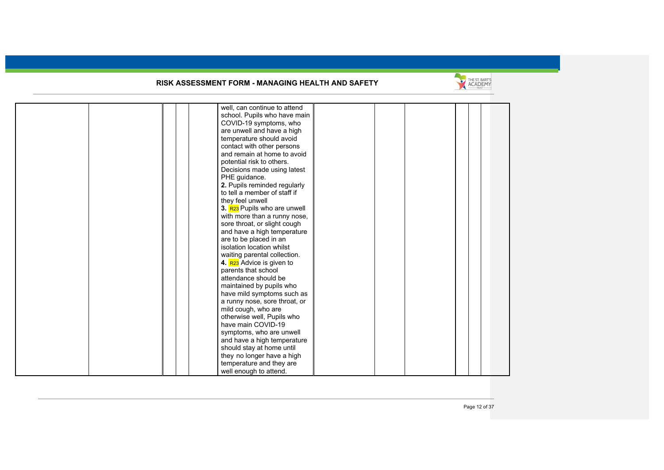

|  | well, can continue to attend          |  |  |  |
|--|---------------------------------------|--|--|--|
|  | school. Pupils who have main          |  |  |  |
|  | COVID-19 symptoms, who                |  |  |  |
|  | are unwell and have a high            |  |  |  |
|  | temperature should avoid              |  |  |  |
|  | contact with other persons            |  |  |  |
|  | and remain at home to avoid           |  |  |  |
|  | potential risk to others.             |  |  |  |
|  | Decisions made using latest           |  |  |  |
|  | PHE guidance.                         |  |  |  |
|  | 2. Pupils reminded regularly          |  |  |  |
|  | to tell a member of staff if          |  |  |  |
|  | they feel unwell                      |  |  |  |
|  | 3. R23 Pupils who are unwell          |  |  |  |
|  | with more than a runny nose,          |  |  |  |
|  | sore throat, or slight cough          |  |  |  |
|  | and have a high temperature           |  |  |  |
|  | are to be placed in an                |  |  |  |
|  | isolation location whilst             |  |  |  |
|  | waiting parental collection.          |  |  |  |
|  | 4. R <sub>23</sub> Advice is given to |  |  |  |
|  | parents that school                   |  |  |  |
|  | attendance should be                  |  |  |  |
|  | maintained by pupils who              |  |  |  |
|  | have mild symptoms such as            |  |  |  |
|  | a runny nose, sore throat, or         |  |  |  |
|  | mild cough, who are                   |  |  |  |
|  | otherwise well, Pupils who            |  |  |  |
|  | have main COVID-19                    |  |  |  |
|  | symptoms, who are unwell              |  |  |  |
|  | and have a high temperature           |  |  |  |
|  | should stay at home until             |  |  |  |
|  | they no longer have a high            |  |  |  |
|  | temperature and they are              |  |  |  |
|  | well enough to attend.                |  |  |  |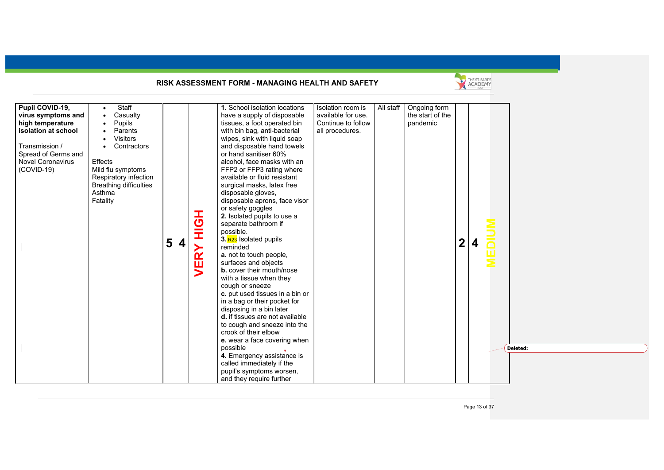

| Pupil COVID-19,     | Staff                         |        |                          | 1. School isolation locations      | Isolation room is  | All staff | Ongoing form     |                |                         |             |          |
|---------------------|-------------------------------|--------|--------------------------|------------------------------------|--------------------|-----------|------------------|----------------|-------------------------|-------------|----------|
| virus symptoms and  | Casualty                      |        |                          | have a supply of disposable        | available for use. |           | the start of the |                |                         |             |          |
| high temperature    | Pupils                        |        |                          | tissues, a foot operated bin       | Continue to follow |           | pandemic         |                |                         |             |          |
| isolation at school | Parents                       |        |                          | with bin bag, anti-bacterial       | all procedures.    |           |                  |                |                         |             |          |
|                     | <b>Visitors</b>               |        |                          | wipes, sink with liquid soap       |                    |           |                  |                |                         |             |          |
| Transmission /      | Contractors                   |        |                          | and disposable hand towels         |                    |           |                  |                |                         |             |          |
| Spread of Germs and |                               |        |                          | or hand sanitiser 60%              |                    |           |                  |                |                         |             |          |
| Novel Coronavirus   | Effects                       |        |                          | alcohol, face masks with an        |                    |           |                  |                |                         |             |          |
| $(COVID-19)$        | Mild flu symptoms             |        |                          | FFP2 or FFP3 rating where          |                    |           |                  |                |                         |             |          |
|                     | Respiratory infection         |        |                          | available or fluid resistant       |                    |           |                  |                |                         |             |          |
|                     | <b>Breathing difficulties</b> |        |                          | surgical masks, latex free         |                    |           |                  |                |                         |             |          |
|                     | Asthma                        |        |                          | disposable gloves,                 |                    |           |                  |                |                         |             |          |
|                     | Fatality                      |        |                          | disposable aprons, face visor      |                    |           |                  |                |                         |             |          |
|                     |                               |        |                          | or safety goggles                  |                    |           |                  |                |                         |             |          |
|                     |                               |        | エ<br>の                   | 2. Isolated pupils to use a        |                    |           |                  |                |                         |             |          |
|                     |                               |        |                          | separate bathroom if               |                    |           |                  |                |                         |             |          |
|                     |                               |        | Ĭ                        | possible.                          |                    |           |                  |                |                         |             |          |
|                     |                               |        |                          | 3. R <sub>23</sub> Isolated pupils |                    |           |                  |                |                         |             |          |
|                     |                               | 5<br>4 |                          | reminded                           |                    |           |                  | $\overline{2}$ | $\overline{\mathbf{4}}$ |             |          |
|                     |                               |        | $\mathbf{\widetilde{R}}$ | a. not to touch people,            |                    |           |                  |                |                         | <u>EDIU</u> |          |
|                     |                               |        |                          | surfaces and objects               |                    |           |                  |                |                         |             |          |
|                     |                               |        | ш                        | <b>b.</b> cover their mouth/nose   |                    |           |                  |                |                         |             |          |
|                     |                               |        |                          | with a tissue when they            |                    |           |                  |                |                         |             |          |
|                     |                               |        |                          | cough or sneeze                    |                    |           |                  |                |                         |             |          |
|                     |                               |        |                          | c. put used tissues in a bin or    |                    |           |                  |                |                         |             |          |
|                     |                               |        |                          | in a bag or their pocket for       |                    |           |                  |                |                         |             |          |
|                     |                               |        |                          | disposing in a bin later           |                    |           |                  |                |                         |             |          |
|                     |                               |        |                          | d. if tissues are not available    |                    |           |                  |                |                         |             |          |
|                     |                               |        |                          |                                    |                    |           |                  |                |                         |             |          |
|                     |                               |        |                          | to cough and sneeze into the       |                    |           |                  |                |                         |             |          |
|                     |                               |        |                          | crook of their elbow               |                    |           |                  |                |                         |             |          |
|                     |                               |        |                          | e. wear a face covering when       |                    |           |                  |                |                         |             |          |
|                     |                               |        |                          | possible                           |                    |           |                  |                |                         |             | Deleted: |
|                     |                               |        |                          | 4. Emergency assistance is         |                    |           |                  |                |                         |             |          |
|                     |                               |        |                          | called immediately if the          |                    |           |                  |                |                         |             |          |
|                     |                               |        |                          | pupil's symptoms worsen,           |                    |           |                  |                |                         |             |          |
|                     |                               |        |                          | and they require further           |                    |           |                  |                |                         |             |          |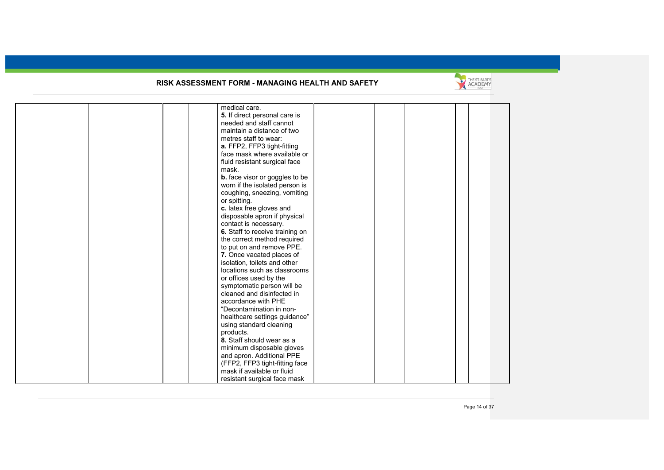

|  | medical care.                         |  |  |  |
|--|---------------------------------------|--|--|--|
|  | 5. If direct personal care is         |  |  |  |
|  | needed and staff cannot               |  |  |  |
|  | maintain a distance of two            |  |  |  |
|  | metres staff to wear:                 |  |  |  |
|  | a. FFP2, FFP3 tight-fitting           |  |  |  |
|  | face mask where available or          |  |  |  |
|  | fluid resistant surgical face         |  |  |  |
|  | mask.                                 |  |  |  |
|  |                                       |  |  |  |
|  | <b>b.</b> face visor or goggles to be |  |  |  |
|  | worn if the isolated person is        |  |  |  |
|  | coughing, sneezing, vomiting          |  |  |  |
|  | or spitting.                          |  |  |  |
|  | c. latex free gloves and              |  |  |  |
|  | disposable apron if physical          |  |  |  |
|  | contact is necessary.                 |  |  |  |
|  | 6. Staff to receive training on       |  |  |  |
|  | the correct method required           |  |  |  |
|  | to put on and remove PPE.             |  |  |  |
|  | 7. Once vacated places of             |  |  |  |
|  | isolation, toilets and other          |  |  |  |
|  | locations such as classrooms          |  |  |  |
|  | or offices used by the                |  |  |  |
|  | symptomatic person will be            |  |  |  |
|  | cleaned and disinfected in            |  |  |  |
|  | accordance with PHE                   |  |  |  |
|  | "Decontamination in non-              |  |  |  |
|  | healthcare settings guidance"         |  |  |  |
|  | using standard cleaning               |  |  |  |
|  | products.                             |  |  |  |
|  | 8. Staff should wear as a             |  |  |  |
|  | minimum disposable gloves             |  |  |  |
|  | and apron. Additional PPE             |  |  |  |
|  | (FFP2, FFP3 tight-fitting face        |  |  |  |
|  | mask if available or fluid            |  |  |  |
|  | resistant surgical face mask          |  |  |  |
|  |                                       |  |  |  |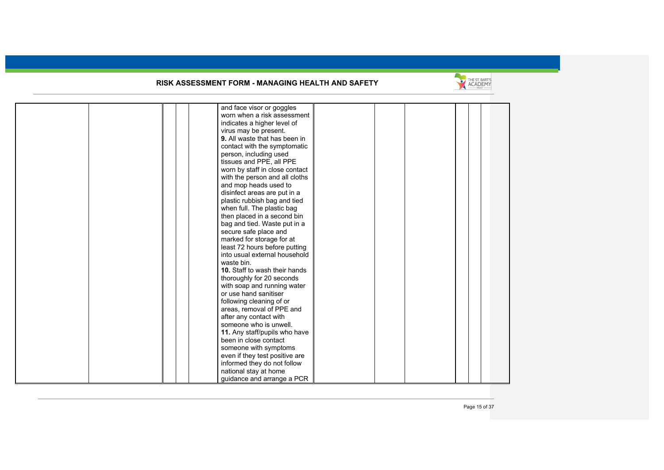

| and face visor or goggles      |
|--------------------------------|
| worn when a risk assessment    |
| indicates a higher level of    |
| virus may be present.          |
| 9. All waste that has been in  |
| contact with the symptomatic   |
| person, including used         |
| tissues and PPE, all PPE       |
| worn by staff in close contact |
| with the person and all cloths |
| and mop heads used to          |
| disinfect areas are put in a   |
| plastic rubbish bag and tied   |
| when full. The plastic bag     |
| then placed in a second bin    |
| bag and tied. Waste put in a   |
| secure safe place and          |
| marked for storage for at      |
| least 72 hours before putting  |
| into usual external household  |
| waste bin.                     |
| 10. Staff to wash their hands  |
| thoroughly for 20 seconds      |
| with soap and running water    |
| or use hand sanitiser          |
| following cleaning of or       |
| areas, removal of PPE and      |
| after any contact with         |
| someone who is unwell.         |
| 11. Any staff/pupils who have  |
| been in close contact          |
| someone with symptoms          |
| even if they test positive are |
| informed they do not follow    |
| national stay at home          |
| quidance and arrange a PCR     |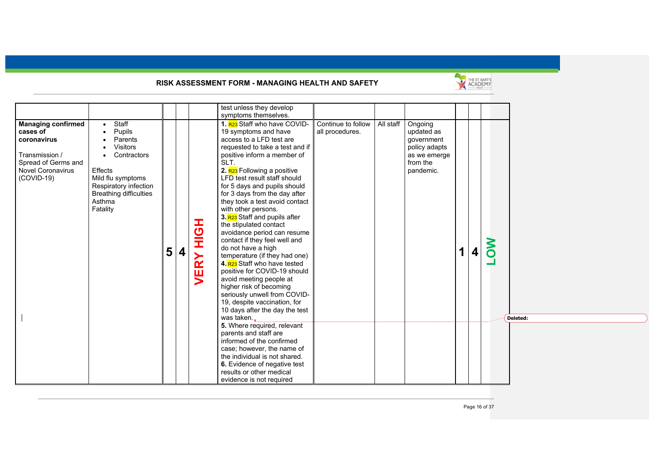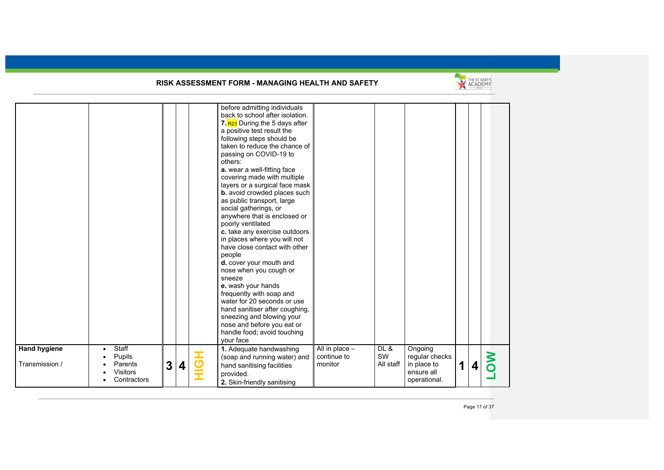

| <b>Hand hygiene</b> | Staff                                        |                   |         | before admitting individuals<br>back to school after isolation.<br>7. R23 During the 5 days after<br>a positive test result the<br>following steps should be<br>taken to reduce the chance of<br>passing on COVID-19 to<br>others:<br>a. wear a well-fitting face<br>covering made with multiple<br>layers or a surgical face mask<br>b. avoid crowded places such<br>as public transport, large<br>social gatherings, or<br>anywhere that is enclosed or<br>poorly ventilated<br>c. take any exercise outdoors<br>in places where you will not<br>have close contact with other<br>people<br>d. cover your mouth and<br>nose when you cough or<br>sneeze<br>e. wash your hands<br>frequently with soap and<br>water for 20 seconds or use<br>hand sanitiser after coughing,<br>sneezing and blowing your<br>nose and before you eat or<br>handle food; avoid touching<br>your face<br>1. Adequate handwashing | All in place $-$       | DL &            | Ongoing                                                     |             |   |        |
|---------------------|----------------------------------------------|-------------------|---------|----------------------------------------------------------------------------------------------------------------------------------------------------------------------------------------------------------------------------------------------------------------------------------------------------------------------------------------------------------------------------------------------------------------------------------------------------------------------------------------------------------------------------------------------------------------------------------------------------------------------------------------------------------------------------------------------------------------------------------------------------------------------------------------------------------------------------------------------------------------------------------------------------------------|------------------------|-----------------|-------------------------------------------------------------|-------------|---|--------|
| Transmission /      | Pupils<br>Parents<br>Visitors<br>Contractors | $\mathbf{3}$<br>4 | I<br>rП | (soap and running water) and<br>hand sanitising facilities<br>provided.<br>2. Skin-friendly sanitising                                                                                                                                                                                                                                                                                                                                                                                                                                                                                                                                                                                                                                                                                                                                                                                                         | continue to<br>monitor | SW<br>All staff | regular checks<br>in place to<br>ensure all<br>operational. | $\mathbf 1$ | 4 | S<br>O |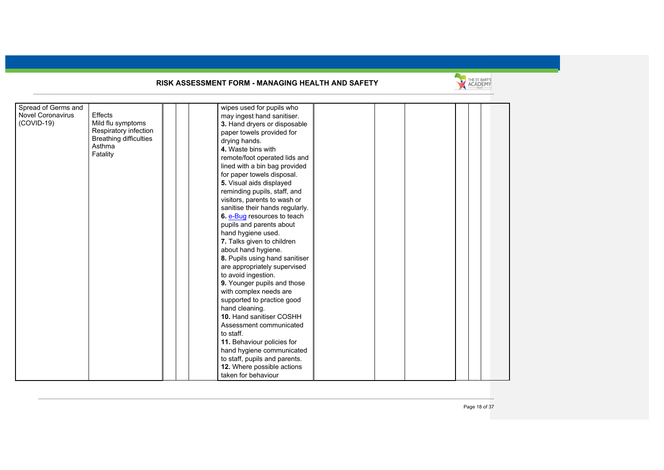

| Spread of Germs and      |                               | wipes used for pupils who       |  |  |  |
|--------------------------|-------------------------------|---------------------------------|--|--|--|
| <b>Novel Coronavirus</b> | Effects                       | may ingest hand sanitiser.      |  |  |  |
| (COVID-19)               | Mild flu symptoms             | 3. Hand dryers or disposable    |  |  |  |
|                          | Respiratory infection         | paper towels provided for       |  |  |  |
|                          | <b>Breathing difficulties</b> | drying hands.                   |  |  |  |
|                          | Asthma                        | 4. Waste bins with              |  |  |  |
|                          | Fatality                      | remote/foot operated lids and   |  |  |  |
|                          |                               | lined with a bin bag provided   |  |  |  |
|                          |                               | for paper towels disposal.      |  |  |  |
|                          |                               | 5. Visual aids displayed        |  |  |  |
|                          |                               | reminding pupils, staff, and    |  |  |  |
|                          |                               | visitors, parents to wash or    |  |  |  |
|                          |                               | sanitise their hands regularly. |  |  |  |
|                          |                               | 6. e-Bug resources to teach     |  |  |  |
|                          |                               | pupils and parents about        |  |  |  |
|                          |                               | hand hygiene used.              |  |  |  |
|                          |                               | 7. Talks given to children      |  |  |  |
|                          |                               | about hand hygiene.             |  |  |  |
|                          |                               | 8. Pupils using hand sanitiser  |  |  |  |
|                          |                               | are appropriately supervised    |  |  |  |
|                          |                               | to avoid ingestion.             |  |  |  |
|                          |                               | 9. Younger pupils and those     |  |  |  |
|                          |                               | with complex needs are          |  |  |  |
|                          |                               | supported to practice good      |  |  |  |
|                          |                               | hand cleaning.                  |  |  |  |
|                          |                               | 10. Hand sanitiser COSHH        |  |  |  |
|                          |                               | Assessment communicated         |  |  |  |
|                          |                               | to staff.                       |  |  |  |
|                          |                               | 11. Behaviour policies for      |  |  |  |
|                          |                               | hand hygiene communicated       |  |  |  |
|                          |                               | to staff, pupils and parents.   |  |  |  |
|                          |                               | 12. Where possible actions      |  |  |  |
|                          |                               |                                 |  |  |  |
|                          |                               | taken for behaviour             |  |  |  |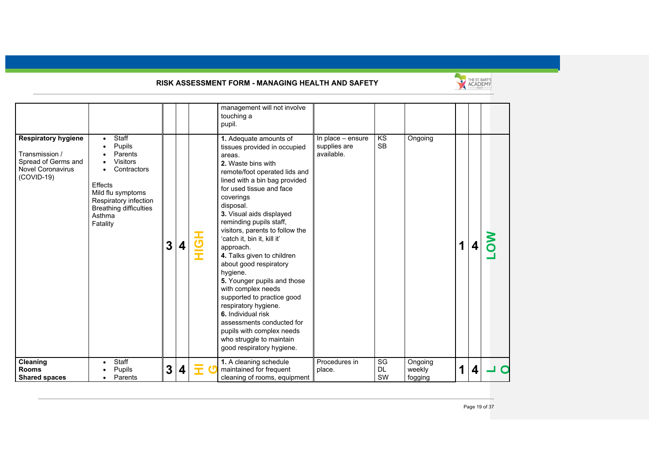

| <b>Respiratory hygiene</b><br>Transmission /<br>Spread of Germs and<br><b>Novel Coronavirus</b><br>$(COVID-19)$ | Staff<br>Pupils<br>Parents<br><b>Visitors</b><br>Contractors<br>Effects<br>Mild flu symptoms<br>Respiratory infection<br><b>Breathing difficulties</b><br>Asthma<br>Fatality | 3 | 4 | $\overline{\mathbf{C}}$ | management will not involve<br>touching a<br>pupil.<br>1. Adequate amounts of<br>tissues provided in occupied<br>areas.<br>2. Waste bins with<br>remote/foot operated lids and<br>lined with a bin bag provided<br>for used tissue and face<br>coverings<br>disposal.<br>3. Visual aids displayed<br>reminding pupils staff,<br>visitors, parents to follow the<br>'catch it, bin it, kill it'<br>approach. | In place - ensure<br>supplies are<br>available. | KS<br><b>SB</b>       | Ongoing                      | 1 | 4 |   |
|-----------------------------------------------------------------------------------------------------------------|------------------------------------------------------------------------------------------------------------------------------------------------------------------------------|---|---|-------------------------|-------------------------------------------------------------------------------------------------------------------------------------------------------------------------------------------------------------------------------------------------------------------------------------------------------------------------------------------------------------------------------------------------------------|-------------------------------------------------|-----------------------|------------------------------|---|---|---|
|                                                                                                                 |                                                                                                                                                                              |   |   | I                       | 4. Talks given to children<br>about good respiratory<br>hygiene.<br>5. Younger pupils and those<br>with complex needs<br>supported to practice good<br>respiratory hygiene.<br>6. Individual risk<br>assessments conducted for<br>pupils with complex needs<br>who struggle to maintain<br>good respiratory hygiene.                                                                                        |                                                 |                       |                              |   |   |   |
| Cleaning<br><b>Rooms</b><br><b>Shared spaces</b>                                                                | Staff<br>Pupils<br>Parents                                                                                                                                                   | 3 |   |                         | 1. A cleaning schedule<br>maintained for frequent<br>cleaning of rooms, equipment                                                                                                                                                                                                                                                                                                                           | Procedures in<br>place.                         | SG<br><b>DL</b><br>SW | Ongoing<br>weekly<br>fogging | 1 | 4 | ◠ |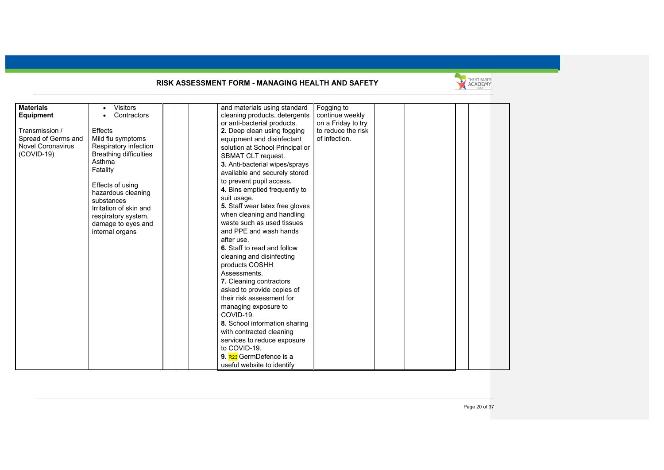

| <b>Materials</b>         | <b>Visitors</b>               | and materials using standard        | Fogging to         |  |  |
|--------------------------|-------------------------------|-------------------------------------|--------------------|--|--|
| <b>Equipment</b>         | Contractors                   | cleaning products, detergents       | continue weekly    |  |  |
|                          |                               | or anti-bacterial products.         | on a Friday to try |  |  |
| Transmission /           | <b>Effects</b>                | 2. Deep clean using fogging         | to reduce the risk |  |  |
| Spread of Germs and      | Mild flu symptoms             | equipment and disinfectant          | of infection.      |  |  |
| <b>Novel Coronavirus</b> | Respiratory infection         | solution at School Principal or     |                    |  |  |
| $(COVID-19)$             | <b>Breathing difficulties</b> | SBMAT CLT request.                  |                    |  |  |
|                          | Asthma                        | 3. Anti-bacterial wipes/sprays      |                    |  |  |
|                          | Fatality                      |                                     |                    |  |  |
|                          |                               | available and securely stored       |                    |  |  |
|                          | Effects of using              | to prevent pupil access.            |                    |  |  |
|                          | hazardous cleaning            | 4. Bins emptied frequently to       |                    |  |  |
|                          | substances                    | suit usage.                         |                    |  |  |
|                          | Irritation of skin and        | 5. Staff wear latex free gloves     |                    |  |  |
|                          | respiratory system,           | when cleaning and handling          |                    |  |  |
|                          | damage to eyes and            | waste such as used tissues          |                    |  |  |
|                          | internal organs               | and PPE and wash hands              |                    |  |  |
|                          |                               | after use.                          |                    |  |  |
|                          |                               | 6. Staff to read and follow         |                    |  |  |
|                          |                               |                                     |                    |  |  |
|                          |                               | cleaning and disinfecting           |                    |  |  |
|                          |                               | products COSHH                      |                    |  |  |
|                          |                               | Assessments.                        |                    |  |  |
|                          |                               | 7. Cleaning contractors             |                    |  |  |
|                          |                               | asked to provide copies of          |                    |  |  |
|                          |                               | their risk assessment for           |                    |  |  |
|                          |                               | managing exposure to                |                    |  |  |
|                          |                               | COVID-19.                           |                    |  |  |
|                          |                               | 8. School information sharing       |                    |  |  |
|                          |                               | with contracted cleaning            |                    |  |  |
|                          |                               | services to reduce exposure         |                    |  |  |
|                          |                               | to COVID-19.                        |                    |  |  |
|                          |                               |                                     |                    |  |  |
|                          |                               | 9. R <sub>23</sub> GermDefence is a |                    |  |  |
|                          |                               | useful website to identify          |                    |  |  |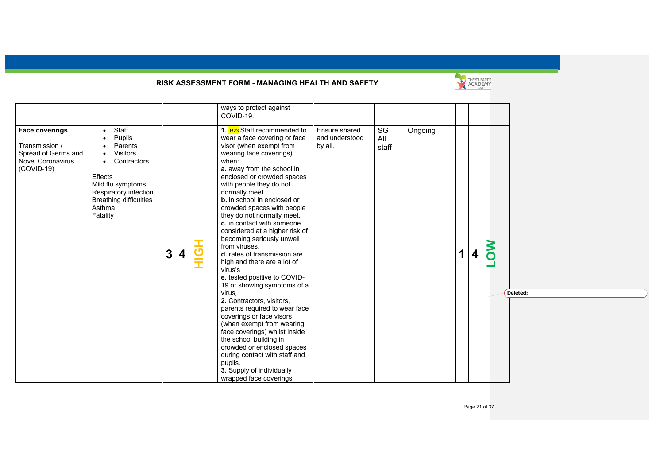

| ways to protect against<br>COVID-19.                                                                                                                                                                                                                                                                                                                                                                                                                                                                                                                                                                                                                                                                                                                                                                                                                                                                                                                                                                                                                                                                                                                                                                                                                                                                                                                                                                     |                              |  |  |  |  |  |
|----------------------------------------------------------------------------------------------------------------------------------------------------------------------------------------------------------------------------------------------------------------------------------------------------------------------------------------------------------------------------------------------------------------------------------------------------------------------------------------------------------------------------------------------------------------------------------------------------------------------------------------------------------------------------------------------------------------------------------------------------------------------------------------------------------------------------------------------------------------------------------------------------------------------------------------------------------------------------------------------------------------------------------------------------------------------------------------------------------------------------------------------------------------------------------------------------------------------------------------------------------------------------------------------------------------------------------------------------------------------------------------------------------|------------------------------|--|--|--|--|--|
| Staff<br>1. R <sub>23</sub> Staff recommended to<br>Ensure shared<br>Ongoing<br><b>Face coverings</b><br>SG<br>$\bullet$<br>Pupils<br>wear a face covering or face<br>and understood<br>All<br>Transmission /<br>Parents<br>visor (when exempt from<br>by all.<br>staff<br><b>Visitors</b><br>Spread of Germs and<br>wearing face coverings)<br><b>Novel Coronavirus</b><br>Contractors<br>when:<br>$\bullet$<br>$(COVID-19)$<br>a. away from the school in<br>Effects<br>enclosed or crowded spaces<br>Mild flu symptoms<br>with people they do not<br>Respiratory infection<br>normally meet.<br><b>Breathing difficulties</b><br><b>b.</b> in school in enclosed or<br>Asthma<br>crowded spaces with people<br>Fatality<br>they do not normally meet.<br>c. in contact with someone<br>considered at a higher risk of<br>becoming seriously unwell<br>from viruses.<br>ら<br>王<br>1<br>$\boldsymbol{3}$<br>$\boldsymbol{4}$<br>d. rates of transmission are<br>4<br>high and there are a lot of<br>virus's<br>e. tested positive to COVID-<br>19 or showing symptoms of a<br>virus.<br>2. Contractors, visitors,<br>parents required to wear face<br>coverings or face visors<br>(when exempt from wearing<br>face coverings) whilst inside<br>the school building in<br>crowded or enclosed spaces<br>during contact with staff and<br>pupils.<br>3. Supply of individually<br>wrapped face coverings | <b>NO</b><br>- 1<br>Deleted: |  |  |  |  |  |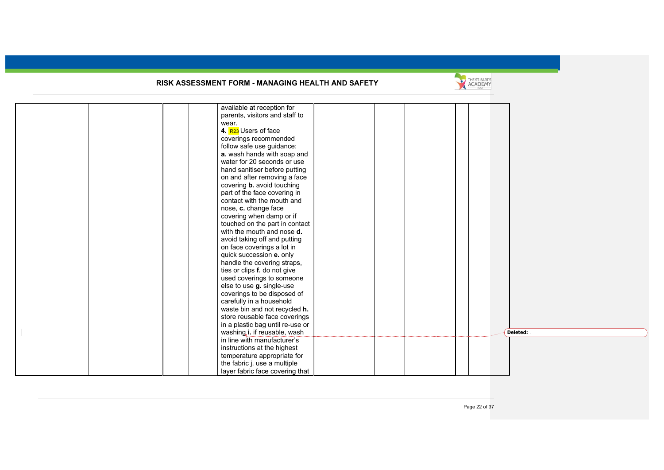

|  |  | available at reception for        |  |  |  |          |
|--|--|-----------------------------------|--|--|--|----------|
|  |  | parents, visitors and staff to    |  |  |  |          |
|  |  | wear.                             |  |  |  |          |
|  |  | 4. R <sub>23</sub> Users of face  |  |  |  |          |
|  |  | coverings recommended             |  |  |  |          |
|  |  | follow safe use guidance:         |  |  |  |          |
|  |  | a. wash hands with soap and       |  |  |  |          |
|  |  | water for 20 seconds or use       |  |  |  |          |
|  |  | hand sanitiser before putting     |  |  |  |          |
|  |  | on and after removing a face      |  |  |  |          |
|  |  | covering <b>b.</b> avoid touching |  |  |  |          |
|  |  | part of the face covering in      |  |  |  |          |
|  |  | contact with the mouth and        |  |  |  |          |
|  |  | nose, c. change face              |  |  |  |          |
|  |  | covering when damp or if          |  |  |  |          |
|  |  | touched on the part in contact    |  |  |  |          |
|  |  | with the mouth and nose <b>d.</b> |  |  |  |          |
|  |  | avoid taking off and putting      |  |  |  |          |
|  |  | on face coverings a lot in        |  |  |  |          |
|  |  | quick succession e. only          |  |  |  |          |
|  |  | handle the covering straps,       |  |  |  |          |
|  |  | ties or clips f. do not give      |  |  |  |          |
|  |  | used coverings to someone         |  |  |  |          |
|  |  | else to use g. single-use         |  |  |  |          |
|  |  | coverings to be disposed of       |  |  |  |          |
|  |  | carefully in a household          |  |  |  |          |
|  |  | waste bin and not recycled h.     |  |  |  |          |
|  |  | store reusable face coverings     |  |  |  |          |
|  |  | in a plastic bag until re-use or  |  |  |  |          |
|  |  | washing, i. if reusable, wash     |  |  |  | Deleted: |
|  |  | in line with manufacturer's       |  |  |  |          |
|  |  | instructions at the highest       |  |  |  |          |
|  |  | temperature appropriate for       |  |  |  |          |
|  |  | the fabric j. use a multiple      |  |  |  |          |
|  |  | layer fabric face covering that   |  |  |  |          |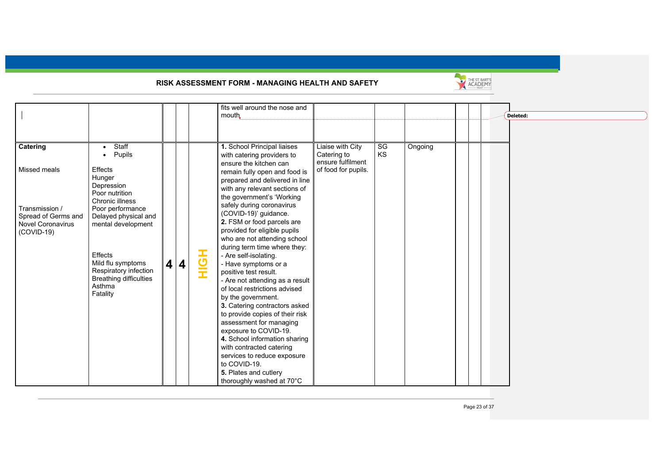

|                          |                               |   |           |     | fits well around the nose and                                |                     |    |         |  |          |
|--------------------------|-------------------------------|---|-----------|-----|--------------------------------------------------------------|---------------------|----|---------|--|----------|
|                          |                               |   |           |     | mouth                                                        |                     |    |         |  | Deleted: |
|                          |                               |   |           |     |                                                              |                     |    |         |  |          |
|                          |                               |   |           |     |                                                              |                     |    |         |  |          |
| Catering                 | Staff<br>$\bullet$            |   |           |     | 1. School Principal liaises                                  | Liaise with City    | SG | Ongoing |  |          |
|                          | Pupils<br>$\bullet$           |   |           |     | with catering providers to                                   | Catering to         | KS |         |  |          |
|                          |                               |   |           |     | ensure the kitchen can                                       | ensure fulfilment   |    |         |  |          |
| Missed meals             | Effects                       |   |           |     | remain fully open and food is                                | of food for pupils. |    |         |  |          |
|                          | Hunger<br>Depression          |   |           |     | prepared and delivered in line                               |                     |    |         |  |          |
|                          | Poor nutrition                |   |           |     | with any relevant sections of                                |                     |    |         |  |          |
|                          | Chronic illness               |   |           |     | the government's 'Working                                    |                     |    |         |  |          |
| Transmission /           | Poor performance              |   |           |     | safely during coronavirus                                    |                     |    |         |  |          |
| Spread of Germs and      | Delayed physical and          |   |           |     | (COVID-19)' guidance.                                        |                     |    |         |  |          |
| <b>Novel Coronavirus</b> | mental development            |   |           |     | 2. FSM or food parcels are                                   |                     |    |         |  |          |
| $(COVID-19)$             |                               |   |           |     | provided for eligible pupils<br>who are not attending school |                     |    |         |  |          |
|                          |                               |   |           |     | during term time where they:                                 |                     |    |         |  |          |
|                          | <b>Effects</b>                |   |           |     | - Are self-isolating.                                        |                     |    |         |  |          |
|                          | Mild flu symptoms             | 4 | $\vert$ 4 | HOH | - Have symptoms or a                                         |                     |    |         |  |          |
|                          | Respiratory infection         |   |           |     | positive test result.                                        |                     |    |         |  |          |
|                          | <b>Breathing difficulties</b> |   |           |     | - Are not attending as a result                              |                     |    |         |  |          |
|                          | Asthma                        |   |           |     | of local restrictions advised                                |                     |    |         |  |          |
|                          | Fatality                      |   |           |     | by the government.                                           |                     |    |         |  |          |
|                          |                               |   |           |     | 3. Catering contractors asked                                |                     |    |         |  |          |
|                          |                               |   |           |     | to provide copies of their risk                              |                     |    |         |  |          |
|                          |                               |   |           |     | assessment for managing                                      |                     |    |         |  |          |
|                          |                               |   |           |     | exposure to COVID-19.                                        |                     |    |         |  |          |
|                          |                               |   |           |     | 4. School information sharing                                |                     |    |         |  |          |
|                          |                               |   |           |     | with contracted catering                                     |                     |    |         |  |          |
|                          |                               |   |           |     | services to reduce exposure                                  |                     |    |         |  |          |
|                          |                               |   |           |     | to COVID-19.                                                 |                     |    |         |  |          |
|                          |                               |   |           |     | 5. Plates and cutlery                                        |                     |    |         |  |          |
|                          |                               |   |           |     | thoroughly washed at 70°C                                    |                     |    |         |  |          |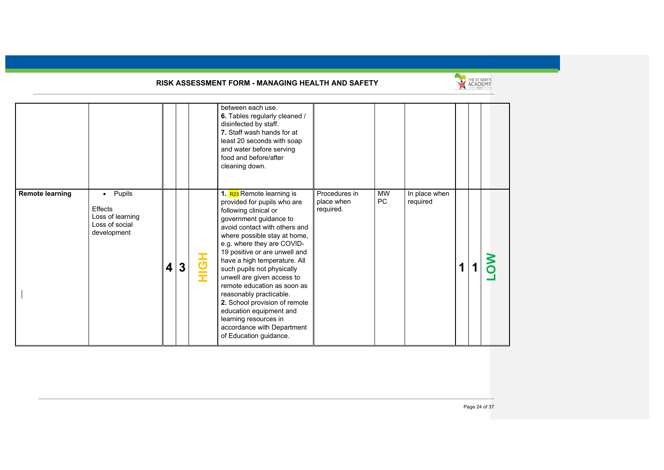

|                        |                                                                                            |   |              |     | between each use.<br>6. Tables regularly cleaned /<br>disinfected by staff.<br>7. Staff wash hands for at<br>least 20 seconds with soap<br>and water before serving<br>food and before/after<br>cleaning down.                                                                                                                                                                                                                                                                                                                                 |                                          |                 |                           |  |  |
|------------------------|--------------------------------------------------------------------------------------------|---|--------------|-----|------------------------------------------------------------------------------------------------------------------------------------------------------------------------------------------------------------------------------------------------------------------------------------------------------------------------------------------------------------------------------------------------------------------------------------------------------------------------------------------------------------------------------------------------|------------------------------------------|-----------------|---------------------------|--|--|
| <b>Remote learning</b> | Pupils<br>$\bullet$<br><b>Effects</b><br>Loss of learning<br>Loss of social<br>development | 4 | $\mathbf{3}$ | HOH | 1. R23 Remote learning is<br>provided for pupils who are<br>following clinical or<br>government guidance to<br>avoid contact with others and<br>where possible stay at home,<br>e.g. where they are COVID-<br>19 positive or are unwell and<br>have a high temperature. All<br>such pupils not physically<br>unwell are given access to<br>remote education as soon as<br>reasonably practicable.<br>2. School provision of remote<br>education equipment and<br>learning resources in<br>accordance with Department<br>of Education guidance. | Procedures in<br>place when<br>required. | <b>MW</b><br>PC | In place when<br>required |  |  |

Page 24 of 37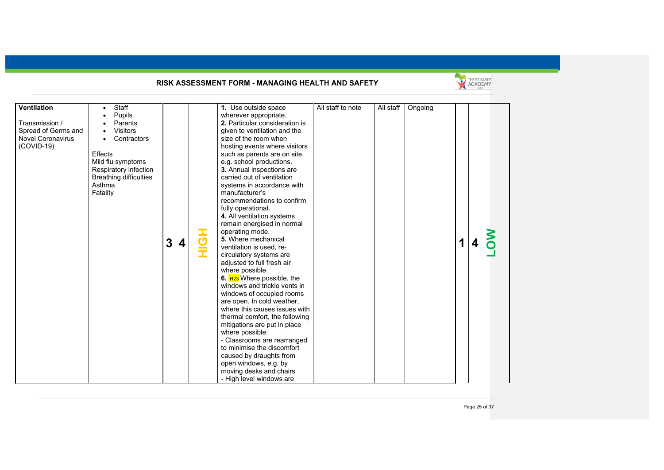

| <b>Ventilation</b>       | Staff<br>$\bullet$            |   |   |     | 1. Use outside space                   | All staff to note | All staff | Ongoing |   |  |
|--------------------------|-------------------------------|---|---|-----|----------------------------------------|-------------------|-----------|---------|---|--|
|                          | Pupils                        |   |   |     | wherever appropriate.                  |                   |           |         |   |  |
| Transmission /           | Parents                       |   |   |     | 2. Particular consideration is         |                   |           |         |   |  |
| Spread of Germs and      | <b>Visitors</b>               |   |   |     | given to ventilation and the           |                   |           |         |   |  |
| <b>Novel Coronavirus</b> | Contractors                   |   |   |     | size of the room when                  |                   |           |         |   |  |
| (COVID-19)               |                               |   |   |     | hosting events where visitors          |                   |           |         |   |  |
|                          | Effects                       |   |   |     | such as parents are on site,           |                   |           |         |   |  |
|                          | Mild flu symptoms             |   |   |     | e.g. school productions.               |                   |           |         |   |  |
|                          | Respiratory infection         |   |   |     | 3. Annual inspections are              |                   |           |         |   |  |
|                          | <b>Breathing difficulties</b> |   |   |     | carried out of ventilation             |                   |           |         |   |  |
|                          | Asthma                        |   |   |     | systems in accordance with             |                   |           |         |   |  |
|                          | Fatality                      |   |   |     | manufacturer's                         |                   |           |         |   |  |
|                          |                               |   |   |     | recommendations to confirm             |                   |           |         |   |  |
|                          |                               |   |   |     | fully operational.                     |                   |           |         |   |  |
|                          |                               |   |   |     | 4. All ventilation systems             |                   |           |         |   |  |
|                          |                               |   |   |     | remain energised in normal             |                   |           |         |   |  |
|                          |                               |   |   |     | operating mode.                        |                   |           |         |   |  |
|                          |                               |   |   |     | 5. Where mechanical                    |                   |           |         | 1 |  |
|                          |                               | 3 | 4 | HQH | ventilation is used, re-               |                   |           |         |   |  |
|                          |                               |   |   |     | circulatory systems are                |                   |           |         |   |  |
|                          |                               |   |   |     | adjusted to full fresh air             |                   |           |         |   |  |
|                          |                               |   |   |     | where possible.                        |                   |           |         |   |  |
|                          |                               |   |   |     | 6. R <sub>23</sub> Where possible, the |                   |           |         |   |  |
|                          |                               |   |   |     | windows and trickle vents in           |                   |           |         |   |  |
|                          |                               |   |   |     | windows of occupied rooms              |                   |           |         |   |  |
|                          |                               |   |   |     | are open. In cold weather,             |                   |           |         |   |  |
|                          |                               |   |   |     | where this causes issues with          |                   |           |         |   |  |
|                          |                               |   |   |     | thermal comfort, the following         |                   |           |         |   |  |
|                          |                               |   |   |     | mitigations are put in place           |                   |           |         |   |  |
|                          |                               |   |   |     | where possible:                        |                   |           |         |   |  |
|                          |                               |   |   |     | - Classrooms are rearranged            |                   |           |         |   |  |
|                          |                               |   |   |     | to minimise the discomfort             |                   |           |         |   |  |
|                          |                               |   |   |     | caused by draughts from                |                   |           |         |   |  |
|                          |                               |   |   |     | open windows, e.g. by                  |                   |           |         |   |  |
|                          |                               |   |   |     | moving desks and chairs                |                   |           |         |   |  |
|                          |                               |   |   |     | - High level windows are               |                   |           |         |   |  |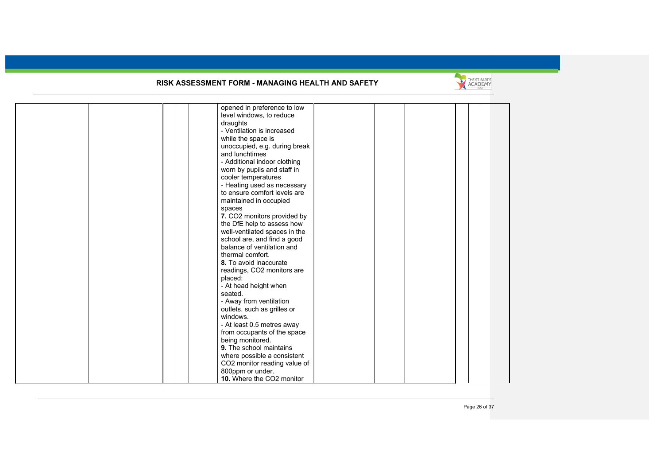

|  | opened in preference to low   |  |  |  |
|--|-------------------------------|--|--|--|
|  | level windows, to reduce      |  |  |  |
|  | draughts                      |  |  |  |
|  | - Ventilation is increased    |  |  |  |
|  | while the space is            |  |  |  |
|  | unoccupied, e.g. during break |  |  |  |
|  | and lunchtimes                |  |  |  |
|  | - Additional indoor clothing  |  |  |  |
|  | worn by pupils and staff in   |  |  |  |
|  | cooler temperatures           |  |  |  |
|  | - Heating used as necessary   |  |  |  |
|  | to ensure comfort levels are  |  |  |  |
|  |                               |  |  |  |
|  | maintained in occupied        |  |  |  |
|  | spaces                        |  |  |  |
|  | 7. CO2 monitors provided by   |  |  |  |
|  | the DfE help to assess how    |  |  |  |
|  | well-ventilated spaces in the |  |  |  |
|  | school are, and find a good   |  |  |  |
|  | balance of ventilation and    |  |  |  |
|  | thermal comfort.              |  |  |  |
|  | 8. To avoid inaccurate        |  |  |  |
|  | readings, CO2 monitors are    |  |  |  |
|  | placed:                       |  |  |  |
|  | - At head height when         |  |  |  |
|  | seated.                       |  |  |  |
|  | - Away from ventilation       |  |  |  |
|  | outlets, such as grilles or   |  |  |  |
|  | windows.                      |  |  |  |
|  | - At least 0.5 metres away    |  |  |  |
|  | from occupants of the space   |  |  |  |
|  | being monitored.              |  |  |  |
|  | 9. The school maintains       |  |  |  |
|  | where possible a consistent   |  |  |  |
|  | CO2 monitor reading value of  |  |  |  |
|  | 800ppm or under.              |  |  |  |
|  | 10. Where the CO2 monitor     |  |  |  |
|  |                               |  |  |  |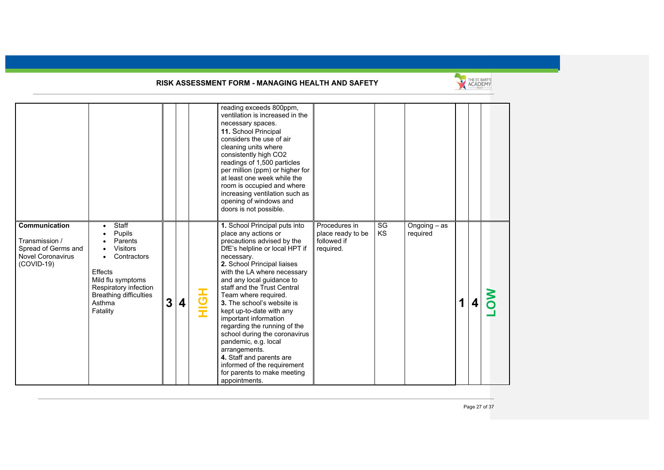

|                                                                                                    |                                                                                                                                                                                                        |   |   |     | reading exceeds 800ppm,<br>ventilation is increased in the<br>necessary spaces.<br>11. School Principal<br>considers the use of air<br>cleaning units where<br>consistently high CO2<br>readings of 1,500 particles<br>per million (ppm) or higher for<br>at least one week while the<br>room is occupied and where<br>increasing ventilation such as<br>opening of windows and<br>doors is not possible.                                                                                                                                                                                     |                                                                |                 |                            |   |   |  |
|----------------------------------------------------------------------------------------------------|--------------------------------------------------------------------------------------------------------------------------------------------------------------------------------------------------------|---|---|-----|-----------------------------------------------------------------------------------------------------------------------------------------------------------------------------------------------------------------------------------------------------------------------------------------------------------------------------------------------------------------------------------------------------------------------------------------------------------------------------------------------------------------------------------------------------------------------------------------------|----------------------------------------------------------------|-----------------|----------------------------|---|---|--|
| Communication<br>Transmission /<br>Spread of Germs and<br><b>Novel Coronavirus</b><br>$(COVID-19)$ | Staff<br>$\bullet$<br>Pupils<br>Parents<br><b>Visitors</b><br>Contractors<br>$\bullet$<br>Effects<br>Mild flu symptoms<br>Respiratory infection<br><b>Breathing difficulties</b><br>Asthma<br>Fatality | 3 | 4 | HOH | 1. School Principal puts into<br>place any actions or<br>precautions advised by the<br>DfE's helpline or local HPT if<br>necessary.<br>2. School Principal liaises<br>with the LA where necessary<br>and any local guidance to<br>staff and the Trust Central<br>Team where required.<br>3. The school's website is<br>kept up-to-date with any<br>important information<br>regarding the running of the<br>school during the coronavirus<br>pandemic, e.g. local<br>arrangements.<br>4. Staff and parents are<br>informed of the requirement<br>for parents to make meeting<br>appointments. | Procedures in<br>place ready to be<br>followed if<br>required. | SG<br><b>KS</b> | Ongoing $-$ as<br>required | 1 | 4 |  |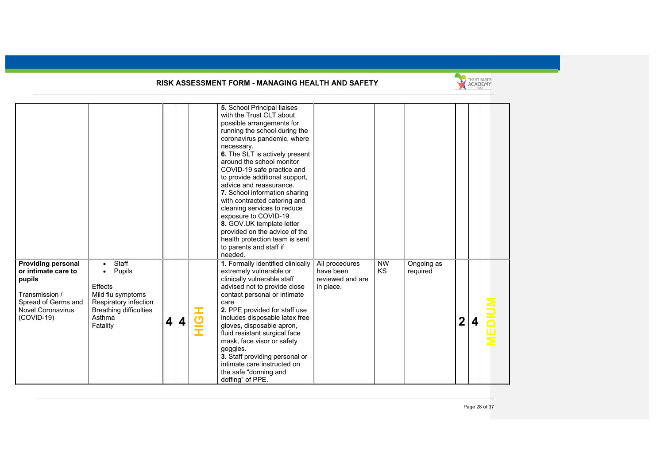

|                                                                                                                                                 |                                                                                                                                              |   |   |     | 5. School Principal liaises<br>with the Trust CLT about<br>possible arrangements for<br>running the school during the<br>coronavirus pandemic, where<br>necessary.<br>6. The SLT is actively present<br>around the school monitor<br>COVID-19 safe practice and<br>to provide additional support,<br>advice and reassurance.<br>7. School information sharing<br>with contracted catering and<br>cleaning services to reduce<br>exposure to COVID-19.<br>8. GOV.UK template letter<br>provided on the advice of the<br>health protection team is sent<br>to parents and staff if<br>needed. |                                                              |                        |                        |   |        |
|-------------------------------------------------------------------------------------------------------------------------------------------------|----------------------------------------------------------------------------------------------------------------------------------------------|---|---|-----|---------------------------------------------------------------------------------------------------------------------------------------------------------------------------------------------------------------------------------------------------------------------------------------------------------------------------------------------------------------------------------------------------------------------------------------------------------------------------------------------------------------------------------------------------------------------------------------------|--------------------------------------------------------------|------------------------|------------------------|---|--------|
| <b>Providing personal</b><br>or intimate care to<br>pupils<br>Transmission /<br>Spread of Germs and<br><b>Novel Coronavirus</b><br>$(COVID-19)$ | Staff<br>Pupils<br>$\bullet$<br>Effects<br>Mild flu symptoms<br>Respiratory infection<br><b>Breathing difficulties</b><br>Asthma<br>Fatality | 4 | 4 | HOH | 1. Formally identified clinically<br>extremely vulnerable or<br>clinically vulnerable staff<br>advised not to provide close<br>contact personal or intimate<br>care<br>2. PPE provided for staff use<br>includes disposable latex free<br>gloves, disposable apron,<br>fluid resistant surgical face<br>mask, face visor or safety<br>goggles.<br>3. Staff providing personal or<br>intimate care instructed on<br>the safe "donning and<br>doffing" of PPE.                                                                                                                                | All procedures<br>have been<br>reviewed and are<br>in place. | <b>NW</b><br><b>KS</b> | Ongoing as<br>required | 2 | i<br>A |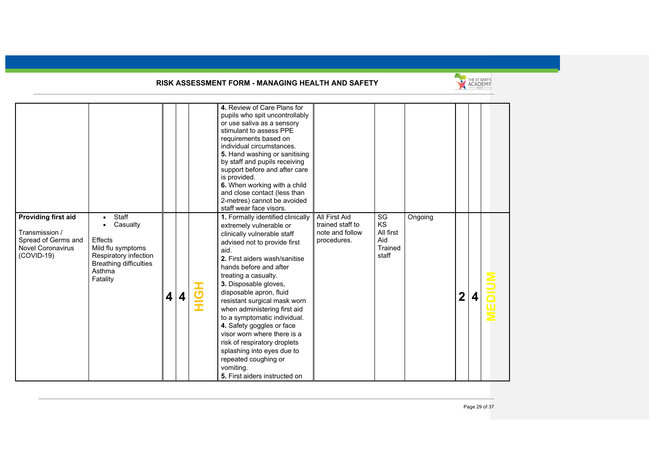

|                                                                                                               |                                                                                                                                          |                              |   | 4. Review of Care Plans for<br>pupils who spit uncontrollably<br>or use saliva as a sensory<br>stimulant to assess PPE<br>requirements based on<br>individual circumstances.<br>5. Hand washing or sanitising<br>by staff and pupils receiving<br>support before and after care<br>is provided.<br>6. When working with a child<br>and close contact (less than<br>2-metres) cannot be avoided<br>staff wear face visors.                                                                                                                                                  |                                                                     |                                                  |         |             |  |
|---------------------------------------------------------------------------------------------------------------|------------------------------------------------------------------------------------------------------------------------------------------|------------------------------|---|----------------------------------------------------------------------------------------------------------------------------------------------------------------------------------------------------------------------------------------------------------------------------------------------------------------------------------------------------------------------------------------------------------------------------------------------------------------------------------------------------------------------------------------------------------------------------|---------------------------------------------------------------------|--------------------------------------------------|---------|-------------|--|
| <b>Providing first aid</b><br>Transmission /<br>Spread of Germs and<br><b>Novel Coronavirus</b><br>(COVID-19) | Staff<br>Casualty<br><b>Effects</b><br>Mild flu symptoms<br>Respiratory infection<br><b>Breathing difficulties</b><br>Asthma<br>Fatality | $\overline{\mathbf{4}}$<br>4 | ᆂ | 1. Formally identified clinically<br>extremely vulnerable or<br>clinically vulnerable staff<br>advised not to provide first<br>aid.<br>2. First aiders wash/sanitise<br>hands before and after<br>treating a casualty.<br>3. Disposable gloves,<br>disposable apron, fluid<br>resistant surgical mask worn<br>when administering first aid<br>to a symptomatic individual.<br>4. Safety goggles or face<br>visor worn where there is a<br>risk of respiratory droplets<br>splashing into eyes due to<br>repeated coughing or<br>vomiting.<br>5. First aiders instructed on | All First Aid<br>trained staff to<br>note and follow<br>procedures. | SG<br>KS<br>All first<br>Aid<br>Trained<br>staff | Ongoing | $\mathbf 2$ |  |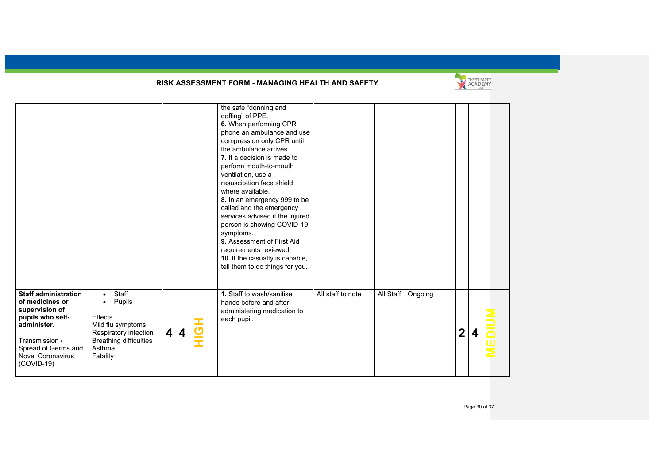

|                                                                                                                                                                                          |                                                                                                                                                           |                         |                  |     | the safe "donning and<br>doffing" of PPE.<br>6. When performing CPR<br>phone an ambulance and use<br>compression only CPR until<br>the ambulance arrives.<br>7. If a decision is made to<br>perform mouth-to-mouth<br>ventilation, use a<br>resuscitation face shield<br>where available.<br>8. In an emergency 999 to be<br>called and the emergency<br>services advised if the injured<br>person is showing COVID-19<br>symptoms.<br>9. Assessment of First Aid<br>requirements reviewed.<br>10. If the casualty is capable,<br>tell them to do things for you. |                   |           |         |              |   |  |
|------------------------------------------------------------------------------------------------------------------------------------------------------------------------------------------|-----------------------------------------------------------------------------------------------------------------------------------------------------------|-------------------------|------------------|-----|-------------------------------------------------------------------------------------------------------------------------------------------------------------------------------------------------------------------------------------------------------------------------------------------------------------------------------------------------------------------------------------------------------------------------------------------------------------------------------------------------------------------------------------------------------------------|-------------------|-----------|---------|--------------|---|--|
| <b>Staff administration</b><br>of medicines or<br>supervision of<br>pupils who self-<br>administer.<br>Transmission /<br>Spread of Germs and<br><b>Novel Coronavirus</b><br>$(COVID-19)$ | Staff<br>$\bullet$<br>Pupils<br>$\bullet$<br>Effects<br>Mild flu symptoms<br>Respiratory infection<br><b>Breathing difficulties</b><br>Asthma<br>Fatality | $\overline{\mathbf{4}}$ | $\boldsymbol{4}$ | HOH | 1. Staff to wash/sanitise<br>hands before and after<br>administering medication to<br>each pupil.                                                                                                                                                                                                                                                                                                                                                                                                                                                                 | All staff to note | All Staff | Ongoing | $\mathbf{2}$ | 4 |  |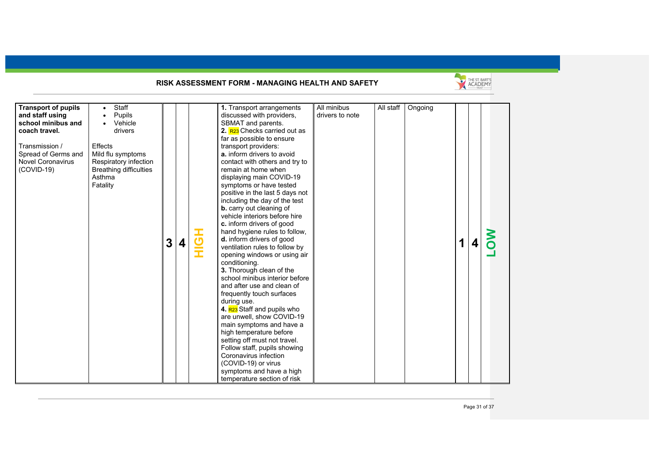

| <b>Transport of pupils</b> | <b>Staff</b><br>$\bullet$     |   |   |        | 1. Transport arrangements                              | All minibus     | All staff | Ongoing |   |  |
|----------------------------|-------------------------------|---|---|--------|--------------------------------------------------------|-----------------|-----------|---------|---|--|
| and staff using            | Pupils<br>$\bullet$           |   |   |        | discussed with providers,                              | drivers to note |           |         |   |  |
| school minibus and         | Vehicle                       |   |   |        | SBMAT and parents.                                     |                 |           |         |   |  |
| coach travel.              | drivers                       |   |   |        | 2. R <sub>23</sub> Checks carried out as               |                 |           |         |   |  |
|                            |                               |   |   |        | far as possible to ensure                              |                 |           |         |   |  |
| Transmission /             | <b>Effects</b>                |   |   |        | transport providers:                                   |                 |           |         |   |  |
| Spread of Germs and        | Mild flu symptoms             |   |   |        | a. inform drivers to avoid                             |                 |           |         |   |  |
| <b>Novel Coronavirus</b>   | Respiratory infection         |   |   |        | contact with others and try to                         |                 |           |         |   |  |
| $(COVID-19)$               | <b>Breathing difficulties</b> |   |   |        | remain at home when                                    |                 |           |         |   |  |
|                            | Asthma                        |   |   |        | displaying main COVID-19                               |                 |           |         |   |  |
|                            | Fatality                      |   |   |        | symptoms or have tested                                |                 |           |         |   |  |
|                            |                               |   |   |        | positive in the last 5 days not                        |                 |           |         |   |  |
|                            |                               |   |   |        | including the day of the test                          |                 |           |         |   |  |
|                            |                               |   |   |        | <b>b.</b> carry out cleaning of                        |                 |           |         |   |  |
|                            |                               |   |   |        | vehicle interiors before hire                          |                 |           |         |   |  |
|                            |                               |   |   |        | c. inform drivers of good                              |                 |           |         |   |  |
|                            |                               |   |   |        | hand hygiene rules to follow,                          |                 |           |         |   |  |
|                            |                               |   |   |        | d. inform drivers of good                              |                 |           |         |   |  |
|                            |                               | 3 | 4 | こ<br>三 | ventilation rules to follow by                         |                 |           |         | 1 |  |
|                            |                               |   |   |        | opening windows or using air                           |                 |           |         |   |  |
|                            |                               |   |   |        | conditioning.                                          |                 |           |         |   |  |
|                            |                               |   |   |        | 3. Thorough clean of the                               |                 |           |         |   |  |
|                            |                               |   |   |        | school minibus interior before                         |                 |           |         |   |  |
|                            |                               |   |   |        | and after use and clean of                             |                 |           |         |   |  |
|                            |                               |   |   |        |                                                        |                 |           |         |   |  |
|                            |                               |   |   |        | frequently touch surfaces                              |                 |           |         |   |  |
|                            |                               |   |   |        | during use.<br>4. R <sub>23</sub> Staff and pupils who |                 |           |         |   |  |
|                            |                               |   |   |        |                                                        |                 |           |         |   |  |
|                            |                               |   |   |        | are unwell, show COVID-19                              |                 |           |         |   |  |
|                            |                               |   |   |        | main symptoms and have a                               |                 |           |         |   |  |
|                            |                               |   |   |        | high temperature before                                |                 |           |         |   |  |
|                            |                               |   |   |        | setting off must not travel.                           |                 |           |         |   |  |
|                            |                               |   |   |        | Follow staff, pupils showing                           |                 |           |         |   |  |
|                            |                               |   |   |        | Coronavirus infection                                  |                 |           |         |   |  |
|                            |                               |   |   |        | (COVID-19) or virus                                    |                 |           |         |   |  |
|                            |                               |   |   |        | symptoms and have a high                               |                 |           |         |   |  |
|                            |                               |   |   |        | temperature section of risk                            |                 |           |         |   |  |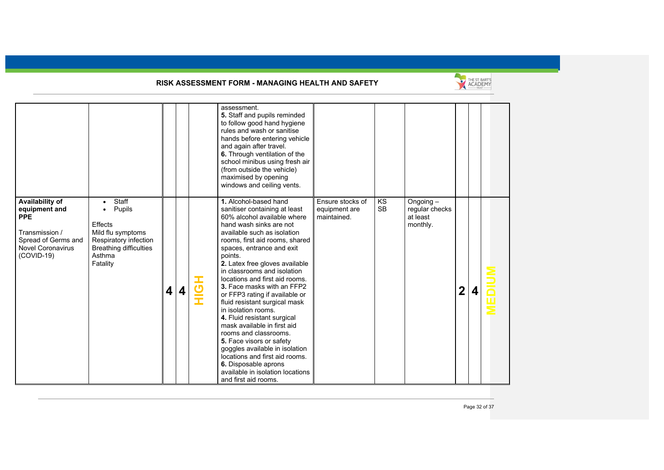

|                                                                                                                                   |                                                                                                                                                           |   |                         |                | assessment.<br>5. Staff and pupils reminded<br>to follow good hand hygiene<br>rules and wash or sanitise<br>hands before entering vehicle<br>and again after travel.<br>6. Through ventilation of the<br>school minibus using fresh air<br>(from outside the vehicle)<br>maximised by opening<br>windows and ceiling vents.                                                                                                                                                                                                                                                                                                                                                                                                     |                                                  |                 |                                                     |   |  |
|-----------------------------------------------------------------------------------------------------------------------------------|-----------------------------------------------------------------------------------------------------------------------------------------------------------|---|-------------------------|----------------|---------------------------------------------------------------------------------------------------------------------------------------------------------------------------------------------------------------------------------------------------------------------------------------------------------------------------------------------------------------------------------------------------------------------------------------------------------------------------------------------------------------------------------------------------------------------------------------------------------------------------------------------------------------------------------------------------------------------------------|--------------------------------------------------|-----------------|-----------------------------------------------------|---|--|
| Availability of<br>equipment and<br><b>PPE</b><br>Transmission /<br>Spread of Germs and<br><b>Novel Coronavirus</b><br>(COVID-19) | Staff<br>$\bullet$<br>Pupils<br>$\bullet$<br>Effects<br>Mild flu symptoms<br>Respiratory infection<br><b>Breathing difficulties</b><br>Asthma<br>Fatality | 4 | $\overline{\mathbf{4}}$ | $\overline{5}$ | 1. Alcohol-based hand<br>sanitiser containing at least<br>60% alcohol available where<br>hand wash sinks are not<br>available such as isolation<br>rooms, first aid rooms, shared<br>spaces, entrance and exit<br>points.<br>2. Latex free gloves available<br>in classrooms and isolation<br>locations and first aid rooms.<br>3. Face masks with an FFP2<br>or FFP3 rating if available or<br>fluid resistant surgical mask<br>in isolation rooms.<br>4. Fluid resistant surgical<br>mask available in first aid<br>rooms and classrooms.<br>5. Face visors or safety<br>goggles available in isolation<br>locations and first aid rooms.<br>6. Disposable aprons<br>available in isolation locations<br>and first aid rooms. | Ensure stocks of<br>equipment are<br>maintained. | KS<br><b>SB</b> | Ongoing -<br>regular checks<br>at least<br>monthly. | 2 |  |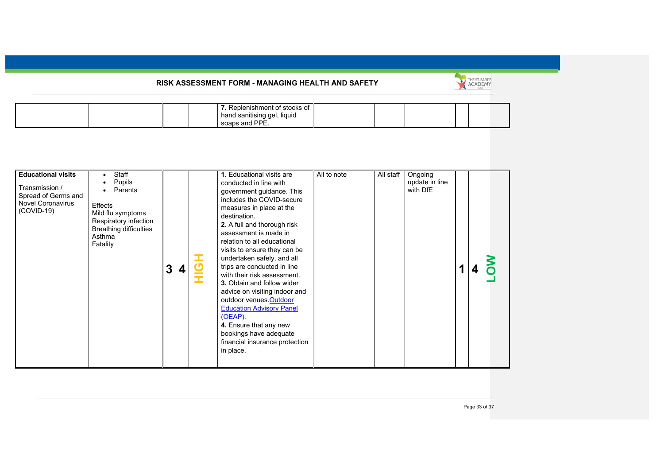

|  |  |  |  | nishment of stocks of:<br>Popla<br>liquid<br>hand sanitising gel,<br><b>DDE</b><br>cogne<br>ond |  |  |  |  |  |
|--|--|--|--|-------------------------------------------------------------------------------------------------|--|--|--|--|--|
|--|--|--|--|-------------------------------------------------------------------------------------------------|--|--|--|--|--|

| <b>Educational visits</b><br>Transmission /<br>Spread of Germs and<br><b>Novel Coronavirus</b><br>$(COVID-19)$ | Staff<br>Pupils<br>Parents<br>Effects<br>Mild flu symptoms<br>Respiratory infection<br><b>Breathing difficulties</b><br>Asthma<br>Fatality | 3 | 4 | I | 1. Educational visits are<br>conducted in line with<br>government guidance. This<br>includes the COVID-secure<br>measures in place at the<br>destination.<br>2. A full and thorough risk<br>assessment is made in<br>relation to all educational<br>visits to ensure they can be<br>undertaken safely, and all<br>trips are conducted in line<br>with their risk assessment.<br><b>3.</b> Obtain and follow wider<br>advice on visiting indoor and<br>outdoor venues.Outdoor<br><b>Education Advisory Panel</b><br>(OEAP).<br>4. Ensure that any new<br>bookings have adequate<br>financial insurance protection<br>in place. | All to note | All staff | Ongoing<br>update in line<br>with DfE |  |  |  |
|----------------------------------------------------------------------------------------------------------------|--------------------------------------------------------------------------------------------------------------------------------------------|---|---|---|-------------------------------------------------------------------------------------------------------------------------------------------------------------------------------------------------------------------------------------------------------------------------------------------------------------------------------------------------------------------------------------------------------------------------------------------------------------------------------------------------------------------------------------------------------------------------------------------------------------------------------|-------------|-----------|---------------------------------------|--|--|--|
|----------------------------------------------------------------------------------------------------------------|--------------------------------------------------------------------------------------------------------------------------------------------|---|---|---|-------------------------------------------------------------------------------------------------------------------------------------------------------------------------------------------------------------------------------------------------------------------------------------------------------------------------------------------------------------------------------------------------------------------------------------------------------------------------------------------------------------------------------------------------------------------------------------------------------------------------------|-------------|-----------|---------------------------------------|--|--|--|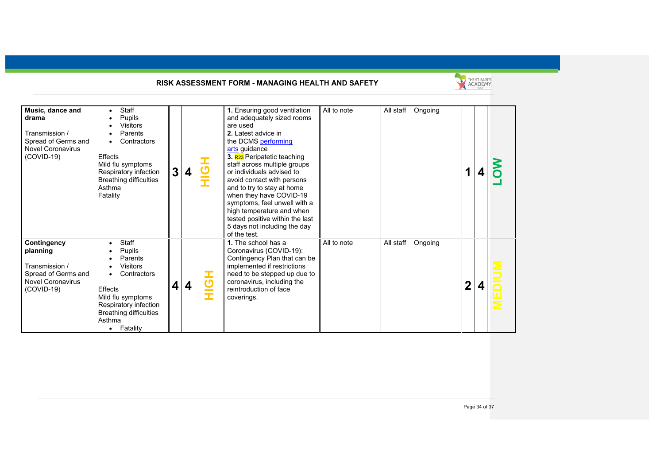

| Music, dance and<br>drama<br>Transmission /<br>Spread of Germs and<br><b>Novel Coronavirus</b><br>$(COVID-19)$ | Staff<br>Pupils<br>Visitors<br>Parents<br>Contractors<br>Effects<br>Mild flu symptoms<br>Respiratory infection<br><b>Breathing difficulties</b><br>Asthma<br>Fatality                     | 3 | 4 | $\overline{5}$<br>Î | 1. Ensuring good ventilation<br>and adequately sized rooms<br>are used<br>2. Latest advice in<br>the DCMS performing<br>arts guidance<br>3. R23 Peripatetic teaching<br>staff across multiple groups<br>or individuals advised to<br>avoid contact with persons<br>and to try to stay at home<br>when they have COVID-19<br>symptoms, feel unwell with a<br>high temperature and when<br>tested positive within the last<br>5 days not including the day<br>of the test. | All to note | All staff | Ongoing |              |  |
|----------------------------------------------------------------------------------------------------------------|-------------------------------------------------------------------------------------------------------------------------------------------------------------------------------------------|---|---|---------------------|--------------------------------------------------------------------------------------------------------------------------------------------------------------------------------------------------------------------------------------------------------------------------------------------------------------------------------------------------------------------------------------------------------------------------------------------------------------------------|-------------|-----------|---------|--------------|--|
| Contingency<br>planning<br>Transmission /<br>Spread of Germs and<br><b>Novel Coronavirus</b><br>$(COVID-19)$   | <b>Staff</b><br>Pupils<br>Parents<br>Visitors<br>Contractors<br>Effects<br>Mild flu symptoms<br>Respiratory infection<br><b>Breathing difficulties</b><br>Asthma<br>Fatality<br>$\bullet$ | 4 | 4 | $\overline{5}$      | 1. The school has a<br>Coronavirus (COVID-19):<br>Contingency Plan that can be<br>implemented if restrictions<br>need to be stepped up due to<br>coronavirus, including the<br>reintroduction of face<br>coverings.                                                                                                                                                                                                                                                      | All to note | All staff | Ongoing | $\mathbf{2}$ |  |

Page 34 of 37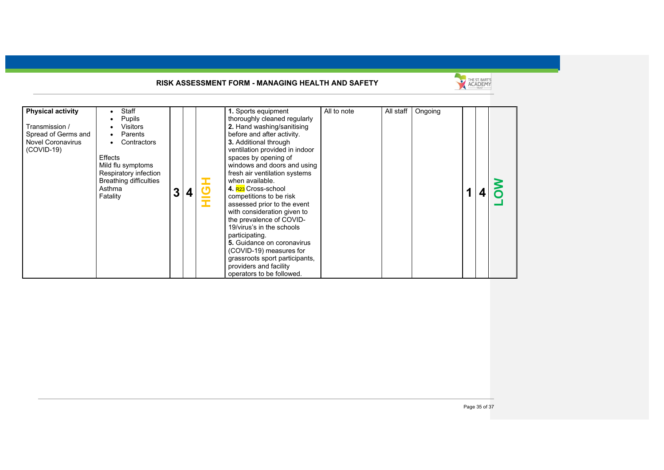

| <b>Physical activity</b>                                                          | Staff                                                                                                                                                                            |  |                                  | 1. Sports equipment                                                                                                                                                                                                                                                                                                                                                                                                                                                                                                                                                                                                     | All to note | All staff | Ongoing |  |  |
|-----------------------------------------------------------------------------------|----------------------------------------------------------------------------------------------------------------------------------------------------------------------------------|--|----------------------------------|-------------------------------------------------------------------------------------------------------------------------------------------------------------------------------------------------------------------------------------------------------------------------------------------------------------------------------------------------------------------------------------------------------------------------------------------------------------------------------------------------------------------------------------------------------------------------------------------------------------------------|-------------|-----------|---------|--|--|
| Transmission /<br>Spread of Germs and<br><b>Novel Coronavirus</b><br>$(COVID-19)$ | Pupils<br><b>Visitors</b><br>Parents<br>$\bullet$<br>Contractors<br>Effects<br>Mild flu symptoms<br>Respiratory infection<br><b>Breathing difficulties</b><br>Asthma<br>Fatality |  | <u>්</u><br><b>Contract</b><br>Ŧ | thoroughly cleaned regularly<br>2. Hand washing/sanitising<br>before and after activity.<br>3. Additional through<br>ventilation provided in indoor<br>spaces by opening of<br>windows and doors and using<br>fresh air ventilation systems<br>when available.<br>4. R <sub>23</sub> Cross-school<br>competitions to be risk<br>assessed prior to the event<br>with consideration given to<br>the prevalence of COVID-<br>19/virus's in the schools<br>participating.<br>5. Guidance on coronavirus<br>(COVID-19) measures for<br>grassroots sport participants,<br>providers and facility<br>operators to be followed. |             |           |         |  |  |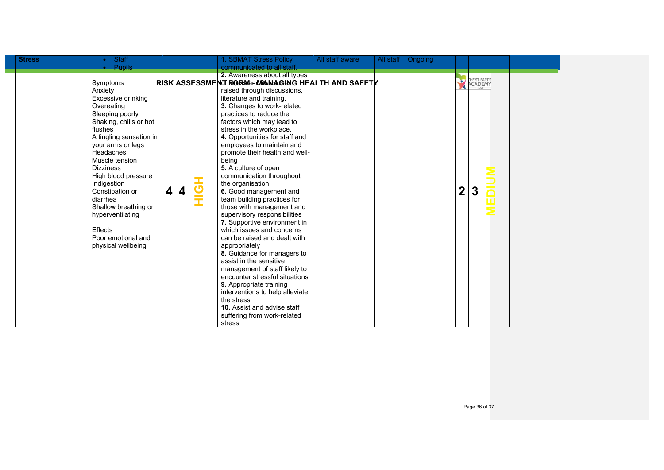| <b>Stress</b> | <b>Staff</b>                                                                                                                                                                                                                                                                                                                                                        |   |   |             | 1. SBMAT Stress Policy                                                                                                                                                                                                                                                                                                                                                                                                                                                                                                                                                                                                                                                                                                                                                                                                                                   | All staff aware | All staff | Ongoing |             |                                  |  |
|---------------|---------------------------------------------------------------------------------------------------------------------------------------------------------------------------------------------------------------------------------------------------------------------------------------------------------------------------------------------------------------------|---|---|-------------|----------------------------------------------------------------------------------------------------------------------------------------------------------------------------------------------------------------------------------------------------------------------------------------------------------------------------------------------------------------------------------------------------------------------------------------------------------------------------------------------------------------------------------------------------------------------------------------------------------------------------------------------------------------------------------------------------------------------------------------------------------------------------------------------------------------------------------------------------------|-----------------|-----------|---------|-------------|----------------------------------|--|
|               | <b>Pupils</b>                                                                                                                                                                                                                                                                                                                                                       |   |   |             | communicated to all staff.                                                                                                                                                                                                                                                                                                                                                                                                                                                                                                                                                                                                                                                                                                                                                                                                                               |                 |           |         |             |                                  |  |
|               | Symptoms<br>Anxiety                                                                                                                                                                                                                                                                                                                                                 |   |   |             | 2. Awareness about all types<br>RISK ASSESSMENT FORWARMANAGING HEALTH AND SAFETY<br>raised through discussions,                                                                                                                                                                                                                                                                                                                                                                                                                                                                                                                                                                                                                                                                                                                                          |                 |           |         | $\bullet$   | THE ST. BART'S<br><b>ACADEMY</b> |  |
|               | Excessive drinking<br>Overeating<br>Sleeping poorly<br>Shaking, chills or hot<br>flushes<br>A tingling sensation in<br>your arms or legs<br>Headaches<br>Muscle tension<br><b>Dizziness</b><br>High blood pressure<br>Indigestion<br>Constipation or<br>diarrhea<br>Shallow breathing or<br>hyperventilating<br>Effects<br>Poor emotional and<br>physical wellbeing | 4 | 4 | —<br>ტ<br>Ξ | literature and training.<br>3. Changes to work-related<br>practices to reduce the<br>factors which may lead to<br>stress in the workplace.<br>4. Opportunities for staff and<br>employees to maintain and<br>promote their health and well-<br>being<br>5. A culture of open<br>communication throughout<br>the organisation<br>6. Good management and<br>team building practices for<br>those with management and<br>supervisory responsibilities<br>7. Supportive environment in<br>which issues and concerns<br>can be raised and dealt with<br>appropriately<br>8. Guidance for managers to<br>assist in the sensitive<br>management of staff likely to<br>encounter stressful situations<br>9. Appropriate training<br>interventions to help alleviate<br>the stress<br><b>10.</b> Assist and advise staff<br>suffering from work-related<br>stress |                 |           |         | $\mathbf 2$ | $\boldsymbol{3}$                 |  |

L